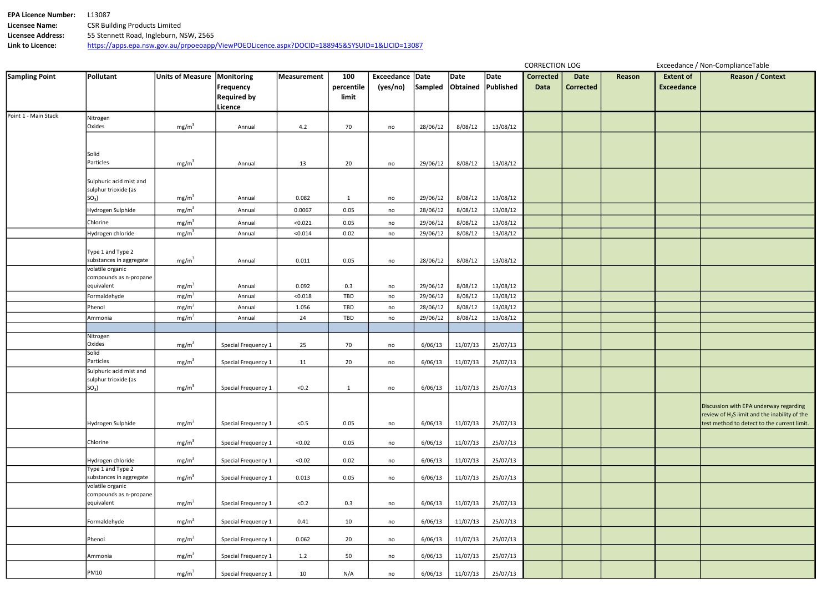| <b>EPA Licence Number:</b> | 13087.                                                                                       |
|----------------------------|----------------------------------------------------------------------------------------------|
| <b>Licensee Name:</b>      | <b>CSR Building Products Limited</b>                                                         |
| <b>Licensee Address:</b>   | 55 Stennett Road, Ingleburn, NSW, 2565                                                       |
| Link to Licence:           | https://apps.epa.nsw.gov.au/prpoeoapp/ViewPOEOLicence.aspx?DOCID=188945&SYSUID=1&LICID=13087 |

| <b>Sampling Point</b> | Pollutant                               | <b>Units of Measure</b> | Monitoring          | Measurement | 100        | Exceedance Date |          | Date     | Date      | <b>Corrected</b> | <b>Date</b>      | Reason | <b>Extent of</b>  | <b>Reason / Context</b>                         |
|-----------------------|-----------------------------------------|-------------------------|---------------------|-------------|------------|-----------------|----------|----------|-----------|------------------|------------------|--------|-------------------|-------------------------------------------------|
|                       |                                         |                         | <b>Frequency</b>    |             | percentile | (yes/no)        | Sampled  | Obtained | Published | Data             | <b>Corrected</b> |        | <b>Exceedance</b> |                                                 |
|                       |                                         |                         | <b>Required by</b>  |             | limit      |                 |          |          |           |                  |                  |        |                   |                                                 |
|                       |                                         |                         | Licence             |             |            |                 |          |          |           |                  |                  |        |                   |                                                 |
| Point 1 - Main Stack  | Nitrogen                                |                         |                     |             |            |                 |          |          |           |                  |                  |        |                   |                                                 |
|                       | Oxides                                  | mg/m <sup>3</sup>       | Annual              | 4.2         | 70         | no              | 28/06/12 | 8/08/12  | 13/08/12  |                  |                  |        |                   |                                                 |
|                       |                                         |                         |                     |             |            |                 |          |          |           |                  |                  |        |                   |                                                 |
|                       |                                         |                         |                     |             |            |                 |          |          |           |                  |                  |        |                   |                                                 |
|                       | Solid<br>Particles                      | mg/m <sup>3</sup>       | Annual              | 13          | 20         |                 | 29/06/12 | 8/08/12  | 13/08/12  |                  |                  |        |                   |                                                 |
|                       |                                         |                         |                     |             |            | no              |          |          |           |                  |                  |        |                   |                                                 |
|                       | Sulphuric acid mist and                 |                         |                     |             |            |                 |          |          |           |                  |                  |        |                   |                                                 |
|                       | sulphur trioxide (as                    |                         |                     |             |            |                 |          |          |           |                  |                  |        |                   |                                                 |
|                       | $SO3$ )                                 | mg/m <sup>3</sup>       | Annual              | 0.082       | 1          | no              | 29/06/12 | 8/08/12  | 13/08/12  |                  |                  |        |                   |                                                 |
|                       | Hydrogen Sulphide                       | mg/m <sup>3</sup>       | Annual              | 0.0067      | 0.05       | no              | 28/06/12 | 8/08/12  | 13/08/12  |                  |                  |        |                   |                                                 |
|                       | Chlorine                                | mg/m <sup>3</sup>       | Annual              | < 0.021     | 0.05       | no              | 29/06/12 | 8/08/12  | 13/08/12  |                  |                  |        |                   |                                                 |
|                       | Hydrogen chloride                       | mg/m <sup>3</sup>       | Annual              | < 0.014     | 0.02       | no              | 29/06/12 | 8/08/12  | 13/08/12  |                  |                  |        |                   |                                                 |
|                       |                                         |                         |                     |             |            |                 |          |          |           |                  |                  |        |                   |                                                 |
|                       | Type 1 and Type 2                       |                         |                     |             |            |                 |          |          |           |                  |                  |        |                   |                                                 |
|                       | substances in aggregate                 | mg/m <sup>3</sup>       | Annual              | 0.011       | 0.05       | no              | 28/06/12 | 8/08/12  | 13/08/12  |                  |                  |        |                   |                                                 |
|                       | volatile organic                        |                         |                     |             |            |                 |          |          |           |                  |                  |        |                   |                                                 |
|                       | compounds as n-propane<br>equivalent    | mg/m <sup>3</sup>       |                     | 0.092       |            |                 |          |          |           |                  |                  |        |                   |                                                 |
|                       | Formaldehyde                            | mg/m <sup>3</sup>       | Annual              | < 0.018     | 0.3<br>TBD | no              | 29/06/12 | 8/08/12  | 13/08/12  |                  |                  |        |                   |                                                 |
|                       |                                         |                         | Annual              |             |            | no              | 29/06/12 | 8/08/12  | 13/08/12  |                  |                  |        |                   |                                                 |
|                       | Phenol                                  | mg/m <sup>3</sup>       | Annual              | 1.056       | TBD        | no              | 28/06/12 | 8/08/12  | 13/08/12  |                  |                  |        |                   |                                                 |
|                       | Ammonia                                 | mg/m <sup>3</sup>       | Annual              | 24          | TBD        | no              | 29/06/12 | 8/08/12  | 13/08/12  |                  |                  |        |                   |                                                 |
|                       | Nitrogen                                |                         |                     |             |            |                 |          |          |           |                  |                  |        |                   |                                                 |
|                       | Oxides                                  | mg/m <sup>3</sup>       | Special Frequency 1 | 25          | 70         | no              | 6/06/13  | 11/07/13 | 25/07/13  |                  |                  |        |                   |                                                 |
|                       | Solid                                   |                         |                     |             |            |                 |          |          |           |                  |                  |        |                   |                                                 |
|                       | Particles                               | mg/m <sup>3</sup>       | Special Frequency 1 | 11          | 20         | no              | 6/06/13  | 11/07/13 | 25/07/13  |                  |                  |        |                   |                                                 |
|                       | Sulphuric acid mist and                 |                         |                     |             |            |                 |          |          |           |                  |                  |        |                   |                                                 |
|                       | sulphur trioxide (as<br>SO <sub>3</sub> | mg/m <sup>3</sup>       | Special Frequency 1 | < 0.2       | 1          | no              | 6/06/13  | 11/07/13 | 25/07/13  |                  |                  |        |                   |                                                 |
|                       |                                         |                         |                     |             |            |                 |          |          |           |                  |                  |        |                   |                                                 |
|                       |                                         |                         |                     |             |            |                 |          |          |           |                  |                  |        |                   | Discussion with EPA underway regarding          |
|                       |                                         |                         |                     |             |            |                 |          |          |           |                  |                  |        |                   | review of $H_2S$ limit and the inability of the |
|                       | Hydrogen Sulphide                       | mg/m <sup>3</sup>       | Special Frequency 1 | < 0.5       | 0.05       | no              | 6/06/13  | 11/07/13 | 25/07/13  |                  |                  |        |                   | test method to detect to the current limit.     |
|                       |                                         |                         |                     |             |            |                 |          |          |           |                  |                  |        |                   |                                                 |
|                       | Chlorine                                | mg/m <sup>3</sup>       | Special Frequency 1 | < 0.02      | 0.05       | no              | 6/06/13  | 11/07/13 | 25/07/13  |                  |                  |        |                   |                                                 |
|                       | Hydrogen chloride                       | mg/m <sup>3</sup>       | Special Frequency 1 | < 0.02      | 0.02       | no              | 6/06/13  | 11/07/13 | 25/07/13  |                  |                  |        |                   |                                                 |
|                       | Type 1 and Type 2                       |                         |                     |             |            |                 |          |          |           |                  |                  |        |                   |                                                 |
|                       | substances in aggregate                 | mg/m <sup>3</sup>       | Special Frequency 1 | 0.013       | 0.05       | no              | 6/06/13  | 11/07/13 | 25/07/13  |                  |                  |        |                   |                                                 |
|                       | volatile organic                        |                         |                     |             |            |                 |          |          |           |                  |                  |        |                   |                                                 |
|                       | compounds as n-propane                  |                         |                     |             |            |                 |          |          |           |                  |                  |        |                   |                                                 |
|                       | equivalent                              | mg/m <sup>3</sup>       | Special Frequency 1 | < 0.2       | 0.3        | no              | 6/06/13  | 11/07/13 | 25/07/13  |                  |                  |        |                   |                                                 |
|                       | Formaldehyde                            | mg/m <sup>3</sup>       | Special Frequency 1 | 0.41        | 10         | no              | 6/06/13  | 11/07/13 | 25/07/13  |                  |                  |        |                   |                                                 |
|                       |                                         |                         |                     |             |            |                 |          |          |           |                  |                  |        |                   |                                                 |
|                       | Phenol                                  | mg/m <sup>3</sup>       | Special Frequency 1 | 0.062       | 20         | no              | 6/06/13  | 11/07/13 | 25/07/13  |                  |                  |        |                   |                                                 |
|                       |                                         |                         |                     |             |            |                 |          |          |           |                  |                  |        |                   |                                                 |
|                       | Ammonia                                 | mg/m <sup>3</sup>       | Special Frequency 1 | 1.2         | 50         | no              | 6/06/13  | 11/07/13 | 25/07/13  |                  |                  |        |                   |                                                 |
|                       | <b>PM10</b>                             | mg/m <sup>3</sup>       | Special Frequency 1 | 10          | N/A        | no              | 6/06/13  | 11/07/13 | 25/07/13  |                  |                  |        |                   |                                                 |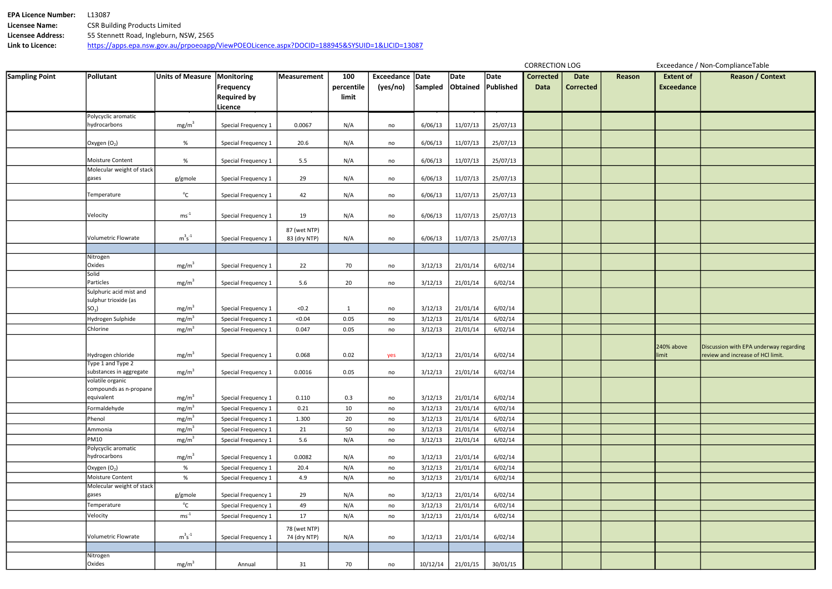| <b>EPA Licence Number:</b> | .13087                                                                                       |
|----------------------------|----------------------------------------------------------------------------------------------|
| Licensee Name:             | <b>CSR Building Products Limited</b>                                                         |
| <b>Licensee Address:</b>   | 55 Stennett Road, Ingleburn, NSW, 2565                                                       |
| Link to Licence:           | https://apps.epa.nsw.gov.au/prpoeoapp/ViewPOEOLicence.aspx?DOCID=188945&SYSUID=1&LICID=13087 |

| Reason | <b>Extent of</b><br><b>Exceedance</b> | Reason / Context                                                            |
|--------|---------------------------------------|-----------------------------------------------------------------------------|
|        |                                       |                                                                             |
|        |                                       |                                                                             |
|        |                                       |                                                                             |
|        |                                       |                                                                             |
|        |                                       |                                                                             |
|        |                                       |                                                                             |
|        |                                       |                                                                             |
|        |                                       |                                                                             |
|        |                                       |                                                                             |
|        |                                       |                                                                             |
|        |                                       |                                                                             |
|        |                                       |                                                                             |
|        | 240% above<br>limit                   | Discussion with EPA underway regarding<br>review and increase of HCl limit. |
|        |                                       |                                                                             |
|        |                                       |                                                                             |
|        |                                       |                                                                             |
|        |                                       |                                                                             |
|        |                                       |                                                                             |
|        |                                       |                                                                             |
|        |                                       |                                                                             |
|        |                                       |                                                                             |
|        |                                       |                                                                             |
|        |                                       |                                                                             |
|        |                                       |                                                                             |
|        |                                       |                                                                             |
|        |                                       |                                                                             |

| <b>Sampling Point</b> | Pollutant                                  | <b>Units of Measure</b> | Monitoring<br><b>Frequency</b>       | Measurement                  | 100<br>percentile | Exceedance Date<br>(yes/no) | Sampled  | Date<br>Obtained | Date<br>Published | <b>Corrected</b><br><b>Data</b> | <b>Date</b><br><b>Corrected</b> | Reason | <b>Extent of</b><br><b>Exceedance</b> |     |
|-----------------------|--------------------------------------------|-------------------------|--------------------------------------|------------------------------|-------------------|-----------------------------|----------|------------------|-------------------|---------------------------------|---------------------------------|--------|---------------------------------------|-----|
|                       |                                            |                         | <b>Required by</b><br><b>Licence</b> |                              | limit             |                             |          |                  |                   |                                 |                                 |        |                                       |     |
|                       | Polycyclic aromatic                        |                         |                                      |                              |                   |                             |          |                  |                   |                                 |                                 |        |                                       |     |
|                       | hydrocarbons                               | mg/m <sup>3</sup>       | Special Frequency 1                  | 0.0067                       | N/A               | no                          | 6/06/13  | 11/07/13         | 25/07/13          |                                 |                                 |        |                                       |     |
|                       | Oxygen $(O_2)$                             | %                       | Special Frequency 1                  | 20.6                         | N/A               | no                          | 6/06/13  | 11/07/13         | 25/07/13          |                                 |                                 |        |                                       |     |
|                       | Moisture Content                           | %                       | Special Frequency 1                  | 5.5                          | N/A               | no                          | 6/06/13  | 11/07/13         | 25/07/13          |                                 |                                 |        |                                       |     |
|                       | Molecular weight of stack                  |                         |                                      |                              |                   |                             |          |                  |                   |                                 |                                 |        |                                       |     |
|                       | gases                                      | g/gmole                 | Special Frequency 1                  | 29                           | N/A               | no                          | 6/06/13  | 11/07/13         | 25/07/13          |                                 |                                 |        |                                       |     |
|                       | Temperature                                | $^{\circ}$ C            | Special Frequency 1                  | 42                           | N/A               | no                          | 6/06/13  | 11/07/13         | 25/07/13          |                                 |                                 |        |                                       |     |
|                       | Velocity                                   | $ms^{-1}$               | Special Frequency 1                  | 19                           | N/A               | no                          | 6/06/13  | 11/07/13         | 25/07/13          |                                 |                                 |        |                                       |     |
|                       | Volumetric Flowrate                        | $m^3s^{\text{-}1}$      |                                      | 87 (wet NTP)                 |                   |                             |          |                  |                   |                                 |                                 |        |                                       |     |
|                       |                                            |                         | Special Frequency 1                  | 83 (dry NTP)                 | N/A               | no                          | 6/06/13  | 11/07/13         | 25/07/13          |                                 |                                 |        |                                       |     |
|                       | Nitrogen                                   |                         |                                      |                              |                   |                             |          |                  |                   |                                 |                                 |        |                                       |     |
|                       | Oxides                                     | mg/m <sup>3</sup>       | Special Frequency 1                  | 22                           | 70                | no                          | 3/12/13  | 21/01/14         | 6/02/14           |                                 |                                 |        |                                       |     |
|                       | Solid                                      |                         |                                      |                              |                   |                             |          |                  |                   |                                 |                                 |        |                                       |     |
|                       | Particles                                  | mg/m <sup>3</sup>       | Special Frequency 1                  | 5.6                          | 20                | no                          | 3/12/13  | 21/01/14         | 6/02/14           |                                 |                                 |        |                                       |     |
|                       | Sulphuric acid mist and                    |                         |                                      |                              |                   |                             |          |                  |                   |                                 |                                 |        |                                       |     |
|                       | sulphur trioxide (as<br>SO <sub>3</sub>    | mg/m <sup>3</sup>       |                                      | < 0.2                        |                   |                             | 3/12/13  | 21/01/14         | 6/02/14           |                                 |                                 |        |                                       |     |
|                       |                                            | mg/m <sup>3</sup>       | Special Frequency 1                  | < 0.04                       | $\mathbf{1}$      | no                          |          |                  |                   |                                 |                                 |        |                                       |     |
|                       | Hydrogen Sulphide<br>Chlorine              |                         | Special Frequency 1                  |                              | 0.05              | no                          | 3/12/13  | 21/01/14         | 6/02/14           |                                 |                                 |        |                                       |     |
|                       |                                            | mg/m <sup>3</sup>       | Special Frequency 1                  | 0.047                        | 0.05              | no                          | 3/12/13  | 21/01/14         | 6/02/14           |                                 |                                 |        |                                       |     |
|                       |                                            |                         |                                      |                              |                   |                             |          |                  |                   |                                 |                                 |        | 240% above                            | Dis |
|                       | Hydrogen chloride                          | mg/m <sup>3</sup>       | Special Frequency 1                  | 0.068                        | 0.02              | yes                         | 3/12/13  | 21/01/14         | 6/02/14           |                                 |                                 |        | limit                                 | rev |
|                       | Type 1 and Type 2                          |                         |                                      |                              |                   |                             |          |                  |                   |                                 |                                 |        |                                       |     |
|                       | substances in aggregate                    | mg/m <sup>3</sup>       | Special Frequency 1                  | 0.0016                       | 0.05              | no                          | 3/12/13  | 21/01/14         | 6/02/14           |                                 |                                 |        |                                       |     |
|                       | volatile organic<br>compounds as n-propane |                         |                                      |                              |                   |                             |          |                  |                   |                                 |                                 |        |                                       |     |
|                       | equivalent                                 | mg/m <sup>3</sup>       | Special Frequency 1                  | 0.110                        | 0.3               | no                          | 3/12/13  | 21/01/14         | 6/02/14           |                                 |                                 |        |                                       |     |
|                       | Formaldehyde                               | mg/m <sup>3</sup>       | Special Frequency 1                  | 0.21                         | 10                | no                          | 3/12/13  | 21/01/14         | 6/02/14           |                                 |                                 |        |                                       |     |
|                       | Phenol                                     | mg/m <sup>3</sup>       | Special Frequency 1                  | 1.300                        | 20                | no                          | 3/12/13  | 21/01/14         | 6/02/14           |                                 |                                 |        |                                       |     |
|                       | Ammonia                                    | mg/m <sup>3</sup>       | Special Frequency 1                  | 21                           | 50                | no                          | 3/12/13  | 21/01/14         | 6/02/14           |                                 |                                 |        |                                       |     |
|                       | <b>PM10</b>                                | mg/m <sup>3</sup>       | Special Frequency 1                  | 5.6                          | N/A               | no                          | 3/12/13  | 21/01/14         | 6/02/14           |                                 |                                 |        |                                       |     |
|                       | Polycyclic aromatic<br>hydrocarbons        | mg/m <sup>3</sup>       | Special Frequency 1                  | 0.0082                       | N/A               | no                          | 3/12/13  | 21/01/14         | 6/02/14           |                                 |                                 |        |                                       |     |
|                       | Oxygen $(O_2)$                             | %                       | Special Frequency 1                  | 20.4                         | N/A               | no                          | 3/12/13  | 21/01/14         | 6/02/14           |                                 |                                 |        |                                       |     |
|                       | Moisture Content                           | %                       | Special Frequency 1                  | 4.9                          | N/A               | no                          | 3/12/13  | 21/01/14         | 6/02/14           |                                 |                                 |        |                                       |     |
|                       | Molecular weight of stack                  |                         |                                      |                              |                   |                             |          |                  |                   |                                 |                                 |        |                                       |     |
|                       | gases                                      | g/gmole                 | Special Frequency 1                  | 29                           | N/A               | no                          | 3/12/13  | 21/01/14         | 6/02/14           |                                 |                                 |        |                                       |     |
|                       | Temperature                                | $^{\circ}$ C            | Special Frequency 1                  | 49                           | N/A               | no                          | 3/12/13  | 21/01/14         | 6/02/14           |                                 |                                 |        |                                       |     |
|                       | Velocity                                   | $ms^{-1}$               | Special Frequency 1                  | 17                           | N/A               | no                          | 3/12/13  | 21/01/14         | 6/02/14           |                                 |                                 |        |                                       |     |
|                       | Volumetric Flowrate                        | $m^3s^{-1}$             | Special Frequency 1                  | 78 (wet NTP)<br>74 (dry NTP) | N/A               | no                          | 3/12/13  | 21/01/14         | 6/02/14           |                                 |                                 |        |                                       |     |
|                       |                                            |                         |                                      |                              |                   |                             |          |                  |                   |                                 |                                 |        |                                       |     |
|                       | Nitrogen                                   |                         |                                      |                              |                   |                             |          |                  |                   |                                 |                                 |        |                                       |     |
|                       | Oxides                                     | mg/m <sup>3</sup>       | Annual                               | 31                           | 70                | no                          | 10/12/14 | 21/01/15         | 30/01/15          |                                 |                                 |        |                                       |     |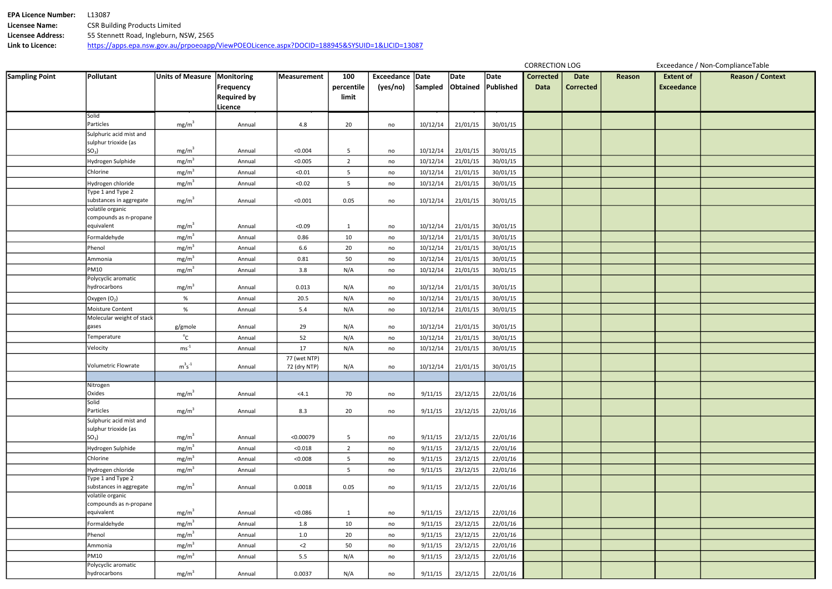| <b>EPA Licence Number:</b> | 13087                                                                                        |
|----------------------------|----------------------------------------------------------------------------------------------|
| Licensee Name:             | <b>CSR Building Products Limited</b>                                                         |
| Licensee Address:          | 55 Stennett Road, Ingleburn, NSW, 2565                                                       |
| Link to Licence:           | https://apps.epa.nsw.gov.au/prpoeoapp/ViewPOEOLicence.aspx?DOCID=188945&SYSUID=1&LICID=13087 |

| Reason | <b>Extent of</b>  | <b>Reason / Context</b> |
|--------|-------------------|-------------------------|
|        | <b>Exceedance</b> |                         |
|        |                   |                         |
|        |                   |                         |
|        |                   |                         |
|        |                   |                         |
|        |                   |                         |
|        |                   |                         |
|        |                   |                         |
|        |                   |                         |
|        |                   |                         |
|        |                   |                         |
|        |                   |                         |
|        |                   |                         |
|        |                   |                         |
|        |                   |                         |
|        |                   |                         |
|        |                   |                         |
|        |                   |                         |
|        |                   |                         |
|        |                   |                         |
|        |                   |                         |
|        |                   |                         |
|        |                   |                         |
|        |                   |                         |
|        |                   |                         |
|        |                   |                         |
|        |                   |                         |
|        |                   |                         |
|        |                   |                         |
|        |                   |                         |
|        |                   |                         |
|        |                   |                         |
|        |                   |                         |
|        |                   |                         |
|        |                   |                         |

| <b>Sampling Point</b> | Pollutant                               | <b>Units of Measure</b> | Monitoring         | <b>Measurement</b> | 100             | Exceedance Date |          | Date               | Date     | <b>Corrected</b> | <b>Date</b>      | Reason | <b>Extent of</b>  |  |
|-----------------------|-----------------------------------------|-------------------------|--------------------|--------------------|-----------------|-----------------|----------|--------------------|----------|------------------|------------------|--------|-------------------|--|
|                       |                                         |                         | <b>Frequency</b>   |                    | percentile      | (yes/no)        | Sampled  | Obtained Published |          | <b>Data</b>      | <b>Corrected</b> |        | <b>Exceedance</b> |  |
|                       |                                         |                         | <b>Required by</b> |                    | limit           |                 |          |                    |          |                  |                  |        |                   |  |
|                       |                                         |                         | Licence            |                    |                 |                 |          |                    |          |                  |                  |        |                   |  |
|                       | Solid                                   |                         |                    |                    |                 |                 |          |                    |          |                  |                  |        |                   |  |
|                       | Particles                               | mg/m <sup>3</sup>       | Annual             | 4.8                | 20              | no              | 10/12/14 | 21/01/15           | 30/01/15 |                  |                  |        |                   |  |
|                       | Sulphuric acid mist and                 |                         |                    |                    |                 |                 |          |                    |          |                  |                  |        |                   |  |
|                       | sulphur trioxide (as<br>SO <sub>3</sub> | mg/m <sup>3</sup>       | Annual             | < 0.004            | 5               | no              | 10/12/14 | 21/01/15           | 30/01/15 |                  |                  |        |                   |  |
|                       | Hydrogen Sulphide                       | mg/m <sup>3</sup>       | Annual             | < 0.005            | $\overline{2}$  | no              | 10/12/14 | 21/01/15           | 30/01/15 |                  |                  |        |                   |  |
|                       | Chlorine                                | mg/m <sup>3</sup>       |                    |                    |                 |                 |          |                    |          |                  |                  |        |                   |  |
|                       |                                         |                         | Annual             | < 0.01             | $5\overline{)}$ | no              | 10/12/14 | 21/01/15           | 30/01/15 |                  |                  |        |                   |  |
|                       | Hydrogen chloride<br>Type 1 and Type 2  | mg/m <sup>3</sup>       | Annual             | < 0.02             | 5 <sub>1</sub>  | no              | 10/12/14 | 21/01/15           | 30/01/15 |                  |                  |        |                   |  |
|                       | substances in aggregate                 | mg/m <sup>3</sup>       | Annual             | < 0.001            | 0.05            | no              | 10/12/14 | 21/01/15           | 30/01/15 |                  |                  |        |                   |  |
|                       | volatile organic                        |                         |                    |                    |                 |                 |          |                    |          |                  |                  |        |                   |  |
|                       | compounds as n-propane                  |                         |                    |                    |                 |                 |          |                    |          |                  |                  |        |                   |  |
|                       | equivalent                              | mg/m <sup>3</sup>       | Annual             | < 0.09             | $\mathbf{1}$    | no              | 10/12/14 | 21/01/15           | 30/01/15 |                  |                  |        |                   |  |
|                       | Formaldehyde                            | mg/m <sup>3</sup>       | Annual             | 0.86               | 10              | no              | 10/12/14 | 21/01/15           | 30/01/15 |                  |                  |        |                   |  |
|                       | Phenol                                  | mg/m <sup>3</sup>       | Annual             | 6.6                | 20              | no              | 10/12/14 | 21/01/15           | 30/01/15 |                  |                  |        |                   |  |
|                       | Ammonia                                 | mg/m <sup>3</sup>       | Annual             | 0.81               | 50              | no              | 10/12/14 | 21/01/15           | 30/01/15 |                  |                  |        |                   |  |
|                       | <b>PM10</b>                             | mg/m <sup>3</sup>       | Annual             | 3.8                | N/A             | no              | 10/12/14 | 21/01/15           | 30/01/15 |                  |                  |        |                   |  |
|                       | Polycyclic aromatic                     |                         |                    |                    |                 |                 |          |                    |          |                  |                  |        |                   |  |
|                       | hydrocarbons                            | mg/m <sup>3</sup>       | Annual             | 0.013              | N/A             | no              | 10/12/14 | 21/01/15           | 30/01/15 |                  |                  |        |                   |  |
|                       | Oxygen $(O_2)$                          | $\%$                    | Annual             | 20.5               | N/A             | no              | 10/12/14 | 21/01/15           | 30/01/15 |                  |                  |        |                   |  |
|                       | Moisture Content                        | %                       | Annual             | 5.4                | N/A             | no              | 10/12/14 | 21/01/15           | 30/01/15 |                  |                  |        |                   |  |
|                       | Molecular weight of stack               |                         |                    |                    |                 |                 |          |                    |          |                  |                  |        |                   |  |
|                       | gases                                   | g/gmole                 | Annual             | 29                 | N/A             | no              | 10/12/14 | 21/01/15           | 30/01/15 |                  |                  |        |                   |  |
|                       | Temperature                             | $^{\circ}$ C            | Annual             | 52                 | N/A             | no              | 10/12/14 | 21/01/15           | 30/01/15 |                  |                  |        |                   |  |
|                       | Velocity                                | $ms^{-1}$               | Annual             | 17                 | N/A             | no              | 10/12/14 | 21/01/15           | 30/01/15 |                  |                  |        |                   |  |
|                       | Volumetric Flowrate                     | $m^3s^{-1}$             |                    | 77 (wet NTP)       |                 |                 | 10/12/14 |                    | 30/01/15 |                  |                  |        |                   |  |
|                       |                                         |                         | Annual             | 72 (dry NTP)       | N/A             | no              |          | 21/01/15           |          |                  |                  |        |                   |  |
|                       | Nitrogen                                |                         |                    |                    |                 |                 |          |                    |          |                  |                  |        |                   |  |
|                       | Oxides                                  | mg/m <sup>3</sup>       | Annual             | < 4.1              | 70              | no              | 9/11/15  | 23/12/15           | 22/01/16 |                  |                  |        |                   |  |
|                       | Solid                                   |                         |                    |                    |                 |                 |          |                    |          |                  |                  |        |                   |  |
|                       | Particles                               | mg/m <sup>3</sup>       | Annual             | 8.3                | 20              | no              | 9/11/15  | 23/12/15           | 22/01/16 |                  |                  |        |                   |  |
|                       | Sulphuric acid mist and                 |                         |                    |                    |                 |                 |          |                    |          |                  |                  |        |                   |  |
|                       | sulphur trioxide (as<br>SO <sub>3</sub> | mg/m <sup>3</sup>       | Annual             | < 0.00079          | $5\phantom{.0}$ | no              | 9/11/15  | 23/12/15           | 22/01/16 |                  |                  |        |                   |  |
|                       | Hydrogen Sulphide                       | mg/m <sup>3</sup>       | Annual             | < 0.018            | $2^{\circ}$     | no              | 9/11/15  | 23/12/15           | 22/01/16 |                  |                  |        |                   |  |
|                       | Chlorine                                | mg/m <sup>3</sup>       | Annual             | < 0.008            | $5\overline{)}$ |                 | 9/11/15  | 23/12/15           | 22/01/16 |                  |                  |        |                   |  |
|                       |                                         | mg/m <sup>3</sup>       |                    |                    |                 | no              |          |                    |          |                  |                  |        |                   |  |
|                       | Hydrogen chloride<br>Type 1 and Type 2  |                         | Annual             |                    | 5 <sub>1</sub>  | no              | 9/11/15  | 23/12/15           | 22/01/16 |                  |                  |        |                   |  |
|                       | substances in aggregate                 | mg/m <sup>3</sup>       | Annual             | 0.0018             | 0.05            | no              | 9/11/15  | 23/12/15           | 22/01/16 |                  |                  |        |                   |  |
|                       | volatile organic                        |                         |                    |                    |                 |                 |          |                    |          |                  |                  |        |                   |  |
|                       | compounds as n-propane                  |                         |                    |                    |                 |                 |          |                    |          |                  |                  |        |                   |  |
|                       | equivalent                              | mg/m <sup>3</sup>       | Annual             | < 0.086            | $\mathbf{1}$    | no              | 9/11/15  | 23/12/15           | 22/01/16 |                  |                  |        |                   |  |
|                       | Formaldehyde                            | mg/m <sup>3</sup>       | Annual             | 1.8                | 10              | no              | 9/11/15  | 23/12/15           | 22/01/16 |                  |                  |        |                   |  |
|                       | Phenol                                  | mg/m <sup>3</sup>       | Annual             | 1.0                | 20              | no              | 9/11/15  | 23/12/15           | 22/01/16 |                  |                  |        |                   |  |
|                       | Ammonia                                 | mg/m <sup>3</sup>       | Annual             | $2$                | 50              | no              | 9/11/15  | 23/12/15           | 22/01/16 |                  |                  |        |                   |  |
|                       | <b>PM10</b>                             | mg/m <sup>3</sup>       | Annual             | 5.5                | N/A             | no              | 9/11/15  | 23/12/15           | 22/01/16 |                  |                  |        |                   |  |
|                       | Polycyclic aromatic                     |                         |                    |                    |                 |                 |          |                    |          |                  |                  |        |                   |  |
|                       | hydrocarbons                            | mg/m <sup>3</sup>       | Annual             | 0.0037             | N/A             | no              | 9/11/15  | 23/12/15           | 22/01/16 |                  |                  |        |                   |  |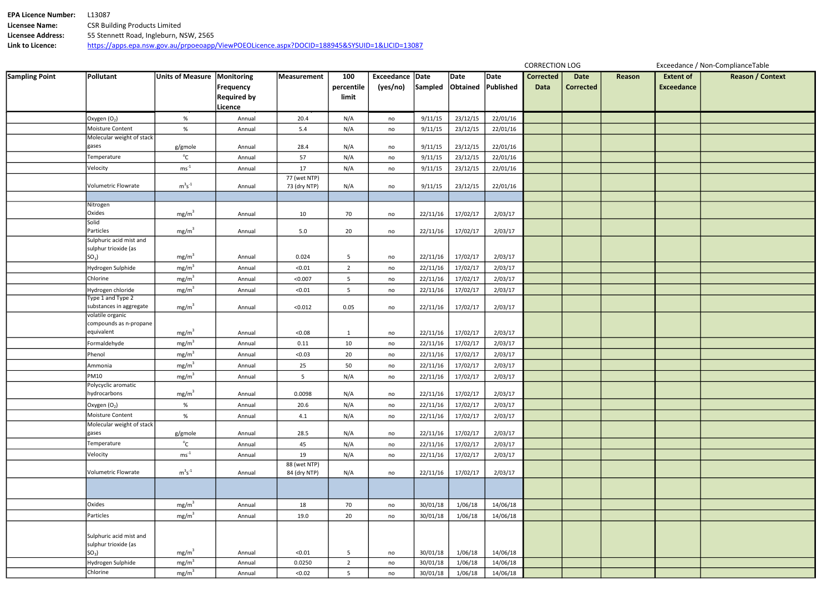| <b>EPA Licence Number:</b> | 13087                                                                                        |
|----------------------------|----------------------------------------------------------------------------------------------|
| Licensee Name:             | <b>CSR Building Products Limited</b>                                                         |
| Licensee Address:          | 55 Stennett Road, Ingleburn, NSW, 2565                                                       |
| Link to Licence:           | https://apps.epa.nsw.gov.au/prpoeoapp/ViewPOEOLicence.aspx?DOCID=188945&SYSUID=1&LICID=13087 |

| Reason | <b>Extent of</b><br><b>Exceedance</b> | Reason / Context |
|--------|---------------------------------------|------------------|
|        |                                       |                  |
|        |                                       |                  |
|        |                                       |                  |
|        |                                       |                  |
|        |                                       |                  |
|        |                                       |                  |
|        |                                       |                  |
|        |                                       |                  |
|        |                                       |                  |
|        |                                       |                  |
|        |                                       |                  |
|        |                                       |                  |
|        |                                       |                  |
|        |                                       |                  |
|        |                                       |                  |
|        |                                       |                  |
|        |                                       |                  |
|        |                                       |                  |
|        |                                       |                  |
|        |                                       |                  |
|        |                                       |                  |
|        |                                       |                  |
|        |                                       |                  |
|        |                                       |                  |
|        |                                       |                  |
|        |                                       |                  |
|        |                                       |                  |
|        |                                       |                  |
|        |                                       |                  |
|        |                                       |                  |
|        |                                       |                  |
|        |                                       |                  |

| <b>Sampling Point</b> | Pollutant                                       | <b>Units of Measure</b>   | <b>Monitoring</b><br>Frequency | <b>Measurement</b>           | 100<br>percentile | Exceedance Date<br>(yes/no) | Sampled Obtained | Date     | Date<br>Published | <b>Corrected</b><br><b>Data</b> | <b>Date</b><br><b>Corrected</b> | Reason | <b>Extent of</b><br><b>Exceedance</b> |  |
|-----------------------|-------------------------------------------------|---------------------------|--------------------------------|------------------------------|-------------------|-----------------------------|------------------|----------|-------------------|---------------------------------|---------------------------------|--------|---------------------------------------|--|
|                       |                                                 |                           | <b>Required by</b><br>Licence  |                              | limit             |                             |                  |          |                   |                                 |                                 |        |                                       |  |
|                       | Oxygen $(O_2)$                                  | %                         | Annual                         | 20.4                         | N/A               | no                          | 9/11/15          | 23/12/15 | 22/01/16          |                                 |                                 |        |                                       |  |
|                       | Moisture Content                                | $\%$                      | Annual                         | 5.4                          | N/A               | no                          | 9/11/15          | 23/12/15 | 22/01/16          |                                 |                                 |        |                                       |  |
|                       | Molecular weight of stack                       |                           |                                |                              |                   |                             |                  |          |                   |                                 |                                 |        |                                       |  |
|                       | gases                                           | g/gmole                   | Annual                         | 28.4                         | N/A               | no                          | 9/11/15          | 23/12/15 | 22/01/16          |                                 |                                 |        |                                       |  |
|                       | Temperature                                     | $^{\circ}$ C              | Annual                         | 57                           | N/A               | no                          | 9/11/15          | 23/12/15 | 22/01/16          |                                 |                                 |        |                                       |  |
|                       | Velocity                                        | $\mathrm{ms}^{\text{-}1}$ | Annual                         | 17                           | N/A               | no                          | 9/11/15          | 23/12/15 | 22/01/16          |                                 |                                 |        |                                       |  |
|                       | Volumetric Flowrate                             | $m^3s^{-1}$               | Annual                         | 77 (wet NTP)<br>73 (dry NTP) | N/A               | no                          | 9/11/15          | 23/12/15 | 22/01/16          |                                 |                                 |        |                                       |  |
|                       |                                                 |                           |                                |                              |                   |                             |                  |          |                   |                                 |                                 |        |                                       |  |
|                       | Nitrogen<br>Oxides                              | mg/m <sup>3</sup>         | Annual                         | 10                           | 70                | no                          | 22/11/16         | 17/02/17 | 2/03/17           |                                 |                                 |        |                                       |  |
|                       | Solid<br>Particles                              | mg/m <sup>3</sup>         | Annual                         | 5.0                          | 20                | no                          | 22/11/16         | 17/02/17 | 2/03/17           |                                 |                                 |        |                                       |  |
|                       | Sulphuric acid mist and<br>sulphur trioxide (as |                           |                                |                              |                   |                             |                  |          |                   |                                 |                                 |        |                                       |  |
|                       | SO <sub>3</sub>                                 | mg/m <sup>3</sup>         | Annual                         | 0.024                        | 5                 | no                          | 22/11/16         | 17/02/17 | 2/03/17           |                                 |                                 |        |                                       |  |
|                       | Hydrogen Sulphide                               | mg/m <sup>3</sup>         | Annual                         | < 0.01                       | $2^{\circ}$       | no                          | 22/11/16         | 17/02/17 | 2/03/17           |                                 |                                 |        |                                       |  |
|                       | Chlorine                                        | mg/m <sup>3</sup>         | Annual                         | < 0.007                      | 5 <sub>1</sub>    | no                          | 22/11/16         | 17/02/17 | 2/03/17           |                                 |                                 |        |                                       |  |
|                       | Hydrogen chloride                               | mg/m <sup>3</sup>         | Annual                         | < 0.01                       | 5 <sub>5</sub>    | no                          | 22/11/16         | 17/02/17 | 2/03/17           |                                 |                                 |        |                                       |  |
|                       | Type 1 and Type 2<br>substances in aggregate    | mg/m <sup>3</sup>         | Annual                         | < 0.012                      | 0.05              | no                          | 22/11/16         | 17/02/17 | 2/03/17           |                                 |                                 |        |                                       |  |
|                       | volatile organic                                |                           |                                |                              |                   |                             |                  |          |                   |                                 |                                 |        |                                       |  |
|                       | compounds as n-propane<br>equivalent            | mg/m <sup>3</sup>         | Annual                         | < 0.08                       | $\mathbf{1}$      | no                          | 22/11/16         | 17/02/17 | 2/03/17           |                                 |                                 |        |                                       |  |
|                       | Formaldehyde                                    | mg/m <sup>3</sup>         | Annual                         | 0.11                         | 10                | no                          | 22/11/16         | 17/02/17 | 2/03/17           |                                 |                                 |        |                                       |  |
|                       | Phenol                                          | mg/m <sup>3</sup>         | Annual                         | < 0.03                       | 20                | no                          | 22/11/16         | 17/02/17 | 2/03/17           |                                 |                                 |        |                                       |  |
|                       | Ammonia                                         | mg/m <sup>3</sup>         | Annual                         | 25                           | 50                | no                          | 22/11/16         | 17/02/17 | 2/03/17           |                                 |                                 |        |                                       |  |
|                       | <b>PM10</b>                                     | mg/m <sup>3</sup>         | Annual                         | $5\overline{)}$              | N/A               | no                          | 22/11/16         | 17/02/17 | 2/03/17           |                                 |                                 |        |                                       |  |
|                       | Polycyclic aromatic                             |                           |                                |                              |                   |                             |                  |          |                   |                                 |                                 |        |                                       |  |
|                       | hydrocarbons                                    | mg/m <sup>3</sup>         | Annual                         | 0.0098                       | N/A               | no                          | 22/11/16         | 17/02/17 | 2/03/17           |                                 |                                 |        |                                       |  |
|                       | Oxygen $(O_2)$                                  | %                         | Annual                         | 20.6                         | N/A               | no                          | 22/11/16         | 17/02/17 | 2/03/17           |                                 |                                 |        |                                       |  |
|                       | Moisture Content                                | %                         | Annual                         | 4.1                          | N/A               | no                          | 22/11/16         | 17/02/17 | 2/03/17           |                                 |                                 |        |                                       |  |
|                       | Molecular weight of stack<br>gases              |                           | Annual                         | 28.5                         | N/A               |                             | 22/11/16         | 17/02/17 | 2/03/17           |                                 |                                 |        |                                       |  |
|                       | Temperature                                     | g/gmole<br>$^{\circ}$ C   | Annual                         |                              | N/A               | no                          | 22/11/16         | 17/02/17 | 2/03/17           |                                 |                                 |        |                                       |  |
|                       | Velocity                                        | $ms^{-1}$                 |                                | 45                           |                   | no                          |                  |          |                   |                                 |                                 |        |                                       |  |
|                       |                                                 |                           | Annual                         | 19<br>88 (wet NTP)           | N/A               | no                          | 22/11/16         | 17/02/17 | 2/03/17           |                                 |                                 |        |                                       |  |
|                       | Volumetric Flowrate                             | $m^3s^{-1}$               | Annual                         | 84 (dry NTP)                 | N/A               | no                          | 22/11/16         | 17/02/17 | 2/03/17           |                                 |                                 |        |                                       |  |
|                       |                                                 |                           |                                |                              |                   |                             |                  |          |                   |                                 |                                 |        |                                       |  |
|                       | Oxides                                          | mg/m <sup>3</sup>         | Annual                         | 18                           | 70                | no                          | 30/01/18         | 1/06/18  | 14/06/18          |                                 |                                 |        |                                       |  |
|                       | Particles                                       | mg/m <sup>3</sup>         | Annual                         | 19.0                         | 20                | no                          | 30/01/18         | 1/06/18  | 14/06/18          |                                 |                                 |        |                                       |  |
|                       | Sulphuric acid mist and<br>sulphur trioxide (as |                           |                                |                              |                   |                             |                  |          |                   |                                 |                                 |        |                                       |  |
|                       | $SO3$ )                                         | mg/m <sup>3</sup>         | Annual                         | < 0.01                       | $5\phantom{.0}$   | no                          | 30/01/18         | 1/06/18  | 14/06/18          |                                 |                                 |        |                                       |  |
|                       | Hydrogen Sulphide                               | mg/m <sup>3</sup>         | Annual                         | 0.0250                       | $2\overline{ }$   | no                          | 30/01/18         | 1/06/18  | 14/06/18          |                                 |                                 |        |                                       |  |
|                       | Chlorine                                        | mg/m <sup>3</sup>         | Annual                         | < 0.02                       | 5 <sub>5</sub>    | no                          | 30/01/18         | 1/06/18  | 14/06/18          |                                 |                                 |        |                                       |  |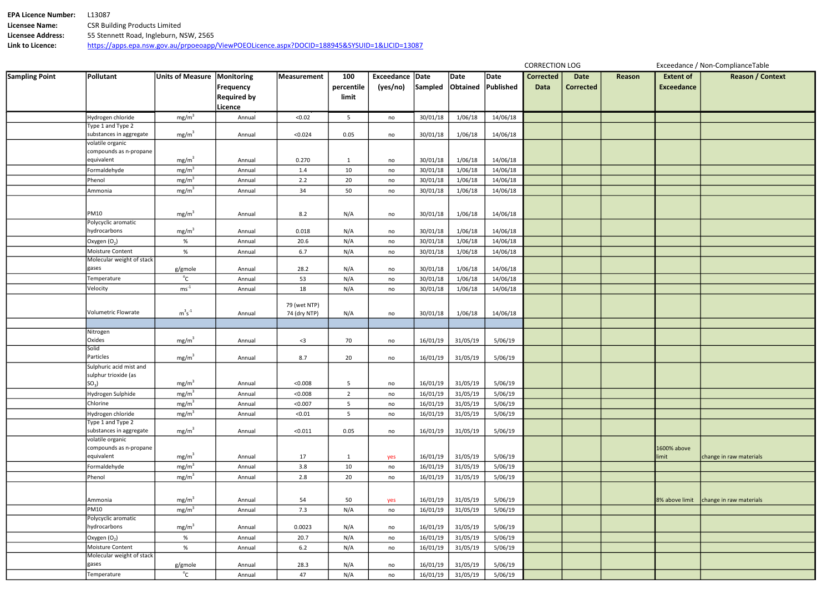| <b>EPA Licence Number:</b> | 13087.                                                                                       |
|----------------------------|----------------------------------------------------------------------------------------------|
| <b>Licensee Name:</b>      | <b>CSR Building Products Limited</b>                                                         |
| <b>Licensee Address:</b>   | 55 Stennett Road, Ingleburn, NSW, 2565                                                       |
| Link to Licence:           | https://apps.epa.nsw.gov.au/prpoeoapp/ViewPOEOLicence.aspx?DOCID=188945&SYSUID=1&LICID=13087 |

| <b>Sampling Point</b> | Pollutant                                   | Units of Measure  | Monitoring         | Measurement  | 100             | Exceedance Date |          | Date              | Date      | <b>Corrected</b> | <b>Date</b>      | <b>Reason</b> | <b>Extent of</b>  | Reason / 0              |
|-----------------------|---------------------------------------------|-------------------|--------------------|--------------|-----------------|-----------------|----------|-------------------|-----------|------------------|------------------|---------------|-------------------|-------------------------|
|                       |                                             |                   | <b>Frequency</b>   |              | percentile      | (yes/no)        | Sampled  | Obtained          | Published | <b>Data</b>      | <b>Corrected</b> |               | <b>Exceedance</b> |                         |
|                       |                                             |                   | <b>Required by</b> |              | limit           |                 |          |                   |           |                  |                  |               |                   |                         |
|                       |                                             |                   | Licence            |              |                 |                 |          |                   |           |                  |                  |               |                   |                         |
|                       | Hydrogen chloride                           | mg/m <sup>3</sup> | Annual             | < 0.02       | $5\overline{)}$ | no              | 30/01/18 | 1/06/18           | 14/06/18  |                  |                  |               |                   |                         |
|                       | Type 1 and Type 2                           |                   |                    |              |                 |                 |          |                   |           |                  |                  |               |                   |                         |
|                       | substances in aggregate                     | mg/m <sup>3</sup> | Annual             | < 0.024      | 0.05            | no              | 30/01/18 | 1/06/18           | 14/06/18  |                  |                  |               |                   |                         |
|                       | volatile organic                            |                   |                    |              |                 |                 |          |                   |           |                  |                  |               |                   |                         |
|                       | compounds as n-propane<br>equivalent        | mg/m <sup>3</sup> | Annual             | 0.270        | $\mathbf{1}$    | no              | 30/01/18 | 1/06/18           | 14/06/18  |                  |                  |               |                   |                         |
|                       | Formaldehyde                                | mg/m <sup>3</sup> | Annual             | 1.4          | 10              | no              | 30/01/18 | 1/06/18           | 14/06/18  |                  |                  |               |                   |                         |
|                       | Phenol                                      | mg/m <sup>3</sup> | Annual             | 2.2          | 20              | no              | 30/01/18 | 1/06/18           | 14/06/18  |                  |                  |               |                   |                         |
|                       | Ammonia                                     | mg/m <sup>3</sup> | Annual             | 34           | 50              | no              | 30/01/18 | 1/06/18           | 14/06/18  |                  |                  |               |                   |                         |
|                       |                                             |                   |                    |              |                 |                 |          |                   |           |                  |                  |               |                   |                         |
|                       |                                             |                   |                    |              |                 |                 |          |                   |           |                  |                  |               |                   |                         |
|                       | <b>PM10</b>                                 | mg/m <sup>3</sup> | Annual             | 8.2          | N/A             | no              | 30/01/18 | 1/06/18           | 14/06/18  |                  |                  |               |                   |                         |
|                       | Polycyclic aromatic<br>hydrocarbons         |                   |                    |              |                 |                 |          |                   |           |                  |                  |               |                   |                         |
|                       |                                             | mg/m <sup>3</sup> | Annual             | 0.018        | N/A             | no              | 30/01/18 | 1/06/18           | 14/06/18  |                  |                  |               |                   |                         |
|                       | Oxygen $(O_2)$<br>Moisture Content          | $\%$              | Annual             | 20.6         | N/A             | no              | 30/01/18 | 1/06/18           | 14/06/18  |                  |                  |               |                   |                         |
|                       | Molecular weight of stack                   | $\%$              | Annual             | 6.7          | N/A             | no              | 30/01/18 | 1/06/18           | 14/06/18  |                  |                  |               |                   |                         |
|                       | gases                                       | g/gmole           | Annual             | 28.2         | N/A             | no              | 30/01/18 | 1/06/18           | 14/06/18  |                  |                  |               |                   |                         |
|                       | Temperature                                 | $^{\circ}$ C      | Annual             | 53           | N/A             | no              | 30/01/18 | 1/06/18           | 14/06/18  |                  |                  |               |                   |                         |
|                       | Velocity                                    | $ms^{-1}$         | Annual             | 18           | N/A             | no              | 30/01/18 | 1/06/18           | 14/06/18  |                  |                  |               |                   |                         |
|                       |                                             |                   |                    |              |                 |                 |          |                   |           |                  |                  |               |                   |                         |
|                       |                                             |                   |                    | 79 (wet NTP) |                 |                 |          |                   |           |                  |                  |               |                   |                         |
|                       | <b>Volumetric Flowrate</b>                  | $m^3s^{-1}$       | Annual             | 74 (dry NTP) | N/A             | no              | 30/01/18 | 1/06/18           | 14/06/18  |                  |                  |               |                   |                         |
|                       |                                             |                   |                    |              |                 |                 |          |                   |           |                  |                  |               |                   |                         |
|                       | Nitrogen<br>Oxides                          |                   |                    |              |                 |                 |          |                   |           |                  |                  |               |                   |                         |
|                       | Solid                                       | mg/m <sup>3</sup> | Annual             | $3$          | 70              | no              | 16/01/19 | 31/05/19          | 5/06/19   |                  |                  |               |                   |                         |
|                       | Particles                                   | mg/m <sup>3</sup> | Annual             | 8.7          | 20              | no              | 16/01/19 | 31/05/19          | 5/06/19   |                  |                  |               |                   |                         |
|                       | Sulphuric acid mist and                     |                   |                    |              |                 |                 |          |                   |           |                  |                  |               |                   |                         |
|                       | sulphur trioxide (as                        |                   |                    |              |                 |                 |          |                   |           |                  |                  |               |                   |                         |
|                       | $SO_3$                                      | mg/m <sup>3</sup> | Annual             | < 0.008      | 5               | no              |          | 16/01/19 31/05/19 | 5/06/19   |                  |                  |               |                   |                         |
|                       | Hydrogen Sulphide                           | mg/m <sup>3</sup> | Annual             | < 0.008      | $\overline{2}$  | no              | 16/01/19 | 31/05/19          | 5/06/19   |                  |                  |               |                   |                         |
|                       | Chlorine                                    | mg/m <sup>3</sup> | Annual             | < 0.007      | 5               | no              | 16/01/19 | 31/05/19          | 5/06/19   |                  |                  |               |                   |                         |
|                       | Hydrogen chloride                           | mg/m <sup>3</sup> | Annual             | < 0.01       | 5 <sub>1</sub>  | no              | 16/01/19 | 31/05/19          | 5/06/19   |                  |                  |               |                   |                         |
|                       | Type 1 and Type 2                           |                   |                    |              |                 |                 |          |                   |           |                  |                  |               |                   |                         |
|                       | substances in aggregate<br>volatile organic | mg/m <sup>3</sup> | Annual             | < 0.011      | 0.05            | no              | 16/01/19 | 31/05/19          | 5/06/19   |                  |                  |               |                   |                         |
|                       | compounds as n-propane                      |                   |                    |              |                 |                 |          |                   |           |                  |                  |               | 1600% above       |                         |
|                       | equivalent                                  | mg/m <sup>3</sup> | Annual             | 17           | $\mathbf{1}$    | yes             | 16/01/19 | 31/05/19          | 5/06/19   |                  |                  |               | limit             | change in raw materials |
|                       | Formaldehyde                                | mg/m <sup>3</sup> | Annual             | 3.8          | 10              | no              | 16/01/19 | 31/05/19          | 5/06/19   |                  |                  |               |                   |                         |
|                       | Phenol                                      | mg/m <sup>3</sup> | Annual             | 2.8          | 20              | no              | 16/01/19 | 31/05/19          | 5/06/19   |                  |                  |               |                   |                         |
|                       |                                             |                   |                    |              |                 |                 |          |                   |           |                  |                  |               |                   |                         |
|                       |                                             | mg/m <sup>3</sup> |                    |              |                 |                 |          |                   |           |                  |                  |               |                   |                         |
|                       | Ammonia<br><b>PM10</b>                      |                   | Annual             | 54           | 50              | yes             | 16/01/19 | 31/05/19          | 5/06/19   |                  |                  |               | 8% above limit    | change in raw materials |
|                       | Polycyclic aromatic                         | mg/m <sup>3</sup> | Annual             | 7.3          | N/A             | no              | 16/01/19 | 31/05/19          | 5/06/19   |                  |                  |               |                   |                         |
|                       | hydrocarbons                                | mg/m <sup>3</sup> | Annual             | 0.0023       | N/A             | no              | 16/01/19 | 31/05/19          | 5/06/19   |                  |                  |               |                   |                         |
|                       | Oxygen (O <sub>2</sub> )                    | $\%$              | Annual             | 20.7         | N/A             | no              | 16/01/19 | 31/05/19          | 5/06/19   |                  |                  |               |                   |                         |
|                       | Moisture Content                            | $\%$              | Annual             | 6.2          | N/A             | no              | 16/01/19 | 31/05/19          | 5/06/19   |                  |                  |               |                   |                         |
|                       | Molecular weight of stack                   |                   |                    |              |                 |                 |          |                   |           |                  |                  |               |                   |                         |
|                       | gases                                       | g/gmole           | Annual             | 28.3         | N/A             | no              | 16/01/19 | 31/05/19          | 5/06/19   |                  |                  |               |                   |                         |
|                       | Temperature                                 | $^{\circ}$ C      | Annual             | 47           | N/A             | no              | 16/01/19 | 31/05/19          | 5/06/19   |                  |                  |               |                   |                         |

| Reason | <b>Extent of</b><br><b>Exceedance</b> | <b>Reason / Context</b> |
|--------|---------------------------------------|-------------------------|
|        |                                       |                         |
|        |                                       |                         |
|        |                                       |                         |
|        |                                       |                         |
|        |                                       |                         |
|        |                                       |                         |
|        |                                       |                         |
|        |                                       |                         |
|        |                                       |                         |
|        |                                       |                         |
|        |                                       |                         |
|        |                                       |                         |
|        |                                       |                         |
|        |                                       |                         |
|        |                                       |                         |
|        |                                       |                         |
|        |                                       |                         |
|        |                                       |                         |
|        |                                       |                         |
|        |                                       |                         |
|        | 1600% above<br>limit                  | change in raw materials |
|        |                                       |                         |
|        | 8% above limit                        | change in raw materials |
|        |                                       |                         |
|        |                                       |                         |
|        |                                       |                         |
|        |                                       |                         |
|        |                                       |                         |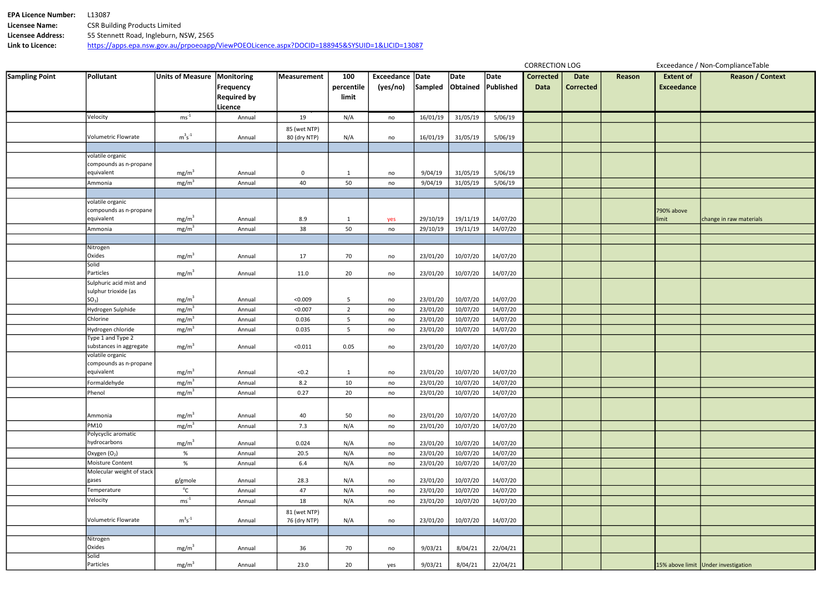| <b>EPA Licence Number:</b> | 13087                                                                                        |
|----------------------------|----------------------------------------------------------------------------------------------|
| Licensee Name:             | <b>CSR Building Products Limited</b>                                                         |
| Licensee Address:          | 55 Stennett Road, Ingleburn, NSW, 2565                                                       |
| Link to Licence:           | https://apps.epa.nsw.gov.au/prpoeoapp/ViewPOEOLicence.aspx?DOCID=188945&SYSUID=1&LICID=13087 |

| <b>Sampling Point</b> | Pollutant                                       | Units of Measure   Monitoring |                    | Measurement                  | 100            | Exceedance Date |          | Date     | Date      | <b>Corrected</b> | <b>Date</b>      | Reason | <b>Extent of</b>  | Reasor                              |
|-----------------------|-------------------------------------------------|-------------------------------|--------------------|------------------------------|----------------|-----------------|----------|----------|-----------|------------------|------------------|--------|-------------------|-------------------------------------|
|                       |                                                 |                               | Frequency          |                              | percentile     | (yes/no)        | Sampled  | Obtained | Published | <b>Data</b>      | <b>Corrected</b> |        | <b>Exceedance</b> |                                     |
|                       |                                                 |                               | <b>Required by</b> |                              | limit          |                 |          |          |           |                  |                  |        |                   |                                     |
|                       |                                                 |                               | Licence            |                              |                |                 |          |          |           |                  |                  |        |                   |                                     |
|                       | Velocity                                        | $ms^{-1}$                     | Annual             | 19                           | N/A            | no              | 16/01/19 | 31/05/19 | 5/06/19   |                  |                  |        |                   |                                     |
|                       |                                                 |                               |                    | 85 (wet NTP)                 |                |                 |          |          |           |                  |                  |        |                   |                                     |
|                       | <b>Volumetric Flowrate</b>                      | $m^3s^{\text{-}1}$            | Annual             | 80 (dry NTP)                 | N/A            | no              | 16/01/19 | 31/05/19 | 5/06/19   |                  |                  |        |                   |                                     |
|                       |                                                 |                               |                    |                              |                |                 |          |          |           |                  |                  |        |                   |                                     |
|                       | volatile organic                                |                               |                    |                              |                |                 |          |          |           |                  |                  |        |                   |                                     |
|                       | compounds as n-propane                          |                               |                    |                              |                |                 |          |          |           |                  |                  |        |                   |                                     |
|                       | equivalent                                      | mg/m <sup>3</sup>             | Annual             | 0                            | $\mathbf{1}$   | no              | 9/04/19  | 31/05/19 | 5/06/19   |                  |                  |        |                   |                                     |
|                       | Ammonia                                         | mg/m <sup>3</sup>             | Annual             | 40                           | 50             | no              | 9/04/19  | 31/05/19 | 5/06/19   |                  |                  |        |                   |                                     |
|                       | volatile organic                                |                               |                    |                              |                |                 |          |          |           |                  |                  |        |                   |                                     |
|                       | compounds as n-propane                          |                               |                    |                              |                |                 |          |          |           |                  |                  |        | 790% above        |                                     |
|                       | equivalent                                      | mg/m <sup>3</sup>             | Annual             | 8.9                          | $\mathbf{1}$   | yes             | 29/10/19 | 19/11/19 | 14/07/20  |                  |                  |        | limit             | change in raw mate                  |
|                       | Ammonia                                         | mg/m <sup>3</sup>             | Annual             | 38                           | 50             | no              | 29/10/19 | 19/11/19 | 14/07/20  |                  |                  |        |                   |                                     |
|                       |                                                 |                               |                    |                              |                |                 |          |          |           |                  |                  |        |                   |                                     |
|                       | Nitrogen                                        |                               |                    |                              |                |                 |          |          |           |                  |                  |        |                   |                                     |
|                       | Oxides                                          | mg/m <sup>3</sup>             | Annual             | 17                           | 70             | no              | 23/01/20 | 10/07/20 | 14/07/20  |                  |                  |        |                   |                                     |
|                       | Solid                                           |                               |                    |                              |                |                 |          |          |           |                  |                  |        |                   |                                     |
|                       | Particles                                       | mg/m <sup>3</sup>             | Annual             | 11.0                         | 20             | no              | 23/01/20 | 10/07/20 | 14/07/20  |                  |                  |        |                   |                                     |
|                       | Sulphuric acid mist and<br>sulphur trioxide (as |                               |                    |                              |                |                 |          |          |           |                  |                  |        |                   |                                     |
|                       | $SO_3$ )                                        | mg/m <sup>3</sup>             | Annual             | < 0.009                      | 5              | no              | 23/01/20 | 10/07/20 | 14/07/20  |                  |                  |        |                   |                                     |
|                       | Hydrogen Sulphide                               | mg/m <sup>3</sup>             | Annual             | < 0.007                      | $\overline{2}$ | no              | 23/01/20 | 10/07/20 | 14/07/20  |                  |                  |        |                   |                                     |
|                       | Chlorine                                        | mg/m <sup>3</sup>             | Annual             | 0.036                        | 5 <sub>1</sub> | no              | 23/01/20 | 10/07/20 | 14/07/20  |                  |                  |        |                   |                                     |
|                       | Hydrogen chloride                               | mg/m <sup>3</sup>             | Annual             | 0.035                        | 5 <sub>5</sub> | no              | 23/01/20 | 10/07/20 | 14/07/20  |                  |                  |        |                   |                                     |
|                       | Type 1 and Type 2                               |                               |                    |                              |                |                 |          |          |           |                  |                  |        |                   |                                     |
|                       | substances in aggregate                         | mg/m <sup>3</sup>             | Annual             | < 0.011                      | 0.05           | no              | 23/01/20 | 10/07/20 | 14/07/20  |                  |                  |        |                   |                                     |
|                       | volatile organic                                |                               |                    |                              |                |                 |          |          |           |                  |                  |        |                   |                                     |
|                       | compounds as n-propane                          |                               |                    |                              |                |                 |          |          |           |                  |                  |        |                   |                                     |
|                       | equivalent                                      | mg/m <sup>3</sup>             | Annual             | < 0.2                        | $\mathbf{1}$   | no              | 23/01/20 | 10/07/20 | 14/07/20  |                  |                  |        |                   |                                     |
|                       | Formaldehyde                                    | mg/m <sup>3</sup>             | Annual             | 8.2                          | 10             | no              | 23/01/20 | 10/07/20 | 14/07/20  |                  |                  |        |                   |                                     |
|                       | Phenol                                          | mg/m <sup>3</sup>             | Annual             | 0.27                         | 20             | no              | 23/01/20 | 10/07/20 | 14/07/20  |                  |                  |        |                   |                                     |
|                       |                                                 |                               |                    |                              |                |                 |          |          |           |                  |                  |        |                   |                                     |
|                       | Ammonia                                         | mg/m <sup>3</sup>             | Annual             | 40                           | 50             | no              | 23/01/20 | 10/07/20 | 14/07/20  |                  |                  |        |                   |                                     |
|                       | PM10                                            | mg/m <sup>3</sup>             | Annual             | 7.3                          | N/A            | no              | 23/01/20 | 10/07/20 | 14/07/20  |                  |                  |        |                   |                                     |
|                       | Polycyclic aromatic                             |                               |                    |                              |                |                 |          |          |           |                  |                  |        |                   |                                     |
|                       | hydrocarbons                                    | mg/m <sup>3</sup>             | Annual             | 0.024                        | N/A            | no              | 23/01/20 | 10/07/20 | 14/07/20  |                  |                  |        |                   |                                     |
|                       | Oxygen $(O_2)$                                  | %                             | Annual             | 20.5                         | N/A            | no              | 23/01/20 | 10/07/20 | 14/07/20  |                  |                  |        |                   |                                     |
|                       | Moisture Content<br>Molecular weight of stack   | %                             | Annual             | 6.4                          | N/A            | no              | 23/01/20 | 10/07/20 | 14/07/20  |                  |                  |        |                   |                                     |
|                       | gases                                           | g/gmole                       | Annual             | 28.3                         | N/A            | no              | 23/01/20 | 10/07/20 | 14/07/20  |                  |                  |        |                   |                                     |
|                       | Temperature                                     | $^{\circ}$ C                  | Annual             | 47                           | N/A            | no              | 23/01/20 | 10/07/20 | 14/07/20  |                  |                  |        |                   |                                     |
|                       | Velocity                                        | $ms^{-1}$                     | Annual             | 18                           | N/A            | no              | 23/01/20 | 10/07/20 | 14/07/20  |                  |                  |        |                   |                                     |
|                       |                                                 |                               |                    |                              |                |                 |          |          |           |                  |                  |        |                   |                                     |
|                       | Volumetric Flowrate                             | $m^3s^{-1}$                   | Annual             | 81 (wet NTP)<br>76 (dry NTP) | N/A            | no              | 23/01/20 | 10/07/20 | 14/07/20  |                  |                  |        |                   |                                     |
|                       |                                                 |                               |                    |                              |                |                 |          |          |           |                  |                  |        |                   |                                     |
|                       | Nitrogen                                        |                               |                    |                              |                |                 |          |          |           |                  |                  |        |                   |                                     |
|                       | Oxides                                          | mg/m <sup>3</sup>             | Annual             | 36                           | 70             | no              | 9/03/21  | 8/04/21  | 22/04/21  |                  |                  |        |                   |                                     |
|                       | Solid                                           |                               |                    |                              |                |                 |          |          |           |                  |                  |        |                   |                                     |
|                       | Particles                                       | mg/m <sup>3</sup>             | Annual             | 23.0                         | 20             | yes             | 9/03/21  | 8/04/21  | 22/04/21  |                  |                  |        |                   | 15% above limit Under investigation |

| Reason | <b>Extent of</b>  | <b>Reason / Context</b>             |
|--------|-------------------|-------------------------------------|
|        | <b>Exceedance</b> |                                     |
|        |                   |                                     |
|        |                   |                                     |
|        |                   |                                     |
|        |                   |                                     |
|        |                   |                                     |
|        |                   |                                     |
|        |                   |                                     |
|        |                   |                                     |
|        |                   |                                     |
|        |                   |                                     |
|        |                   |                                     |
|        |                   |                                     |
|        | 790% above        |                                     |
|        | limit             | change in raw materials             |
|        |                   |                                     |
|        |                   |                                     |
|        |                   |                                     |
|        |                   |                                     |
|        |                   |                                     |
|        |                   |                                     |
|        |                   |                                     |
|        |                   |                                     |
|        |                   |                                     |
|        |                   |                                     |
|        |                   |                                     |
|        |                   |                                     |
|        |                   |                                     |
|        |                   |                                     |
|        |                   |                                     |
|        |                   |                                     |
|        |                   |                                     |
|        |                   |                                     |
|        |                   |                                     |
|        |                   |                                     |
|        |                   |                                     |
|        |                   |                                     |
|        |                   |                                     |
|        |                   |                                     |
|        |                   |                                     |
|        |                   |                                     |
|        |                   |                                     |
|        |                   |                                     |
|        |                   |                                     |
|        |                   |                                     |
|        |                   |                                     |
|        |                   |                                     |
|        |                   |                                     |
|        |                   |                                     |
|        |                   | 15% above limit Under investigation |

CORRECTION LOG Exceedance / Non-ComplianceTable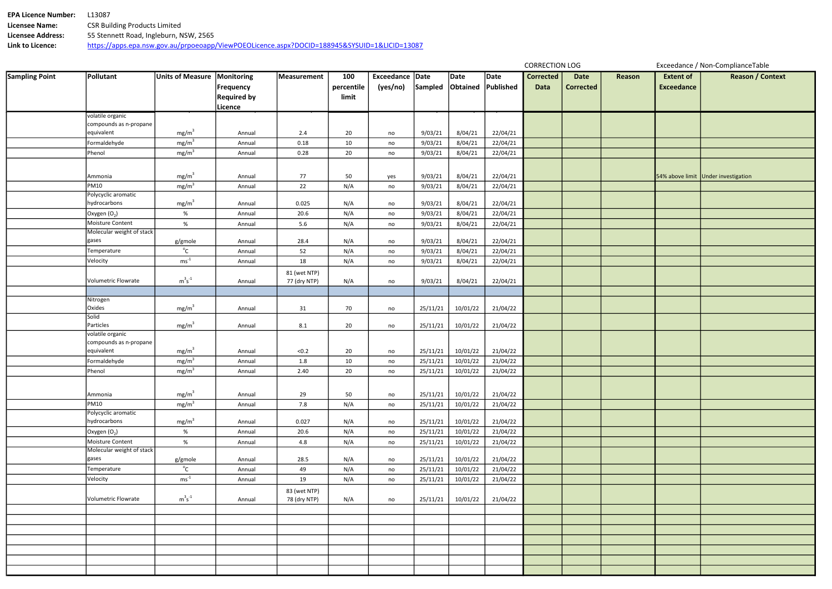| <b>EPA Licence Number:</b> | 13087                                                                                        |
|----------------------------|----------------------------------------------------------------------------------------------|
| Licensee Name:             | <b>CSR Building Products Limited</b>                                                         |
| Licensee Address:          | 55 Stennett Road, Ingleburn, NSW, 2565                                                       |
| Link to Licence:           | https://apps.epa.nsw.gov.au/prpoeoapp/ViewPOEOLicence.aspx?DOCID=188945&SYSUID=1&LICID=13087 |

| Reason | <b>Extent of</b>  | <b>Reason / Context</b>             |
|--------|-------------------|-------------------------------------|
|        | <b>Exceedance</b> |                                     |
|        |                   |                                     |
|        |                   |                                     |
|        |                   |                                     |
|        |                   |                                     |
|        |                   |                                     |
|        |                   |                                     |
|        |                   |                                     |
|        |                   | 54% above limit Under investigation |
|        |                   |                                     |
|        |                   |                                     |
|        |                   |                                     |
|        |                   |                                     |
|        |                   |                                     |
|        |                   |                                     |
|        |                   |                                     |
|        |                   |                                     |
|        |                   |                                     |
|        |                   |                                     |
|        |                   |                                     |
|        |                   |                                     |
|        |                   |                                     |
|        |                   |                                     |
|        |                   |                                     |
|        |                   |                                     |
|        |                   |                                     |
|        |                   |                                     |
|        |                   |                                     |
|        |                   |                                     |
|        |                   |                                     |
|        |                   |                                     |
|        |                   |                                     |
|        |                   |                                     |
|        |                   |                                     |
|        |                   |                                     |
|        |                   |                                     |
|        |                   |                                     |
|        |                   |                                     |
|        |                   |                                     |
|        |                   |                                     |
|        |                   |                                     |
|        |                   |                                     |
|        |                   |                                     |
|        |                   |                                     |

| <b>Sampling Point</b> | Pollutant                                     | Units of Measure   Monitoring |                    | Measurement  | 100        | Exceedance Date |          | Date     | Date                 | <b>Corrected</b> | <b>Date</b>      | Reason | <b>Extent of</b>  | Reasor                              |
|-----------------------|-----------------------------------------------|-------------------------------|--------------------|--------------|------------|-----------------|----------|----------|----------------------|------------------|------------------|--------|-------------------|-------------------------------------|
|                       |                                               |                               | Frequency          |              | percentile | (yes/no)        | Sampled  | Obtained | Published            | Data             | <b>Corrected</b> |        | <b>Exceedance</b> |                                     |
|                       |                                               |                               | <b>Required by</b> |              | limit      |                 |          |          |                      |                  |                  |        |                   |                                     |
|                       |                                               |                               | Licence            |              |            |                 |          |          |                      |                  |                  |        |                   |                                     |
|                       | volatile organic                              |                               |                    |              |            |                 |          |          |                      |                  |                  |        |                   |                                     |
|                       | compounds as n-propane<br>equivalent          |                               |                    |              |            |                 |          |          |                      |                  |                  |        |                   |                                     |
|                       |                                               | mg/m <sup>3</sup>             | Annual             | 2.4          | 20         | no              | 9/03/21  | 8/04/21  | 22/04/21             |                  |                  |        |                   |                                     |
|                       | Formaldehyde                                  | mg/m <sup>3</sup>             | Annual             | 0.18         | 10         | $\mathsf{no}$   | 9/03/21  | 8/04/21  | 22/04/21             |                  |                  |        |                   |                                     |
|                       | Phenol                                        | mg/m <sup>3</sup>             | Annual             | 0.28         | 20         | no              | 9/03/21  | 8/04/21  | 22/04/21             |                  |                  |        |                   |                                     |
|                       |                                               |                               |                    |              |            |                 |          |          |                      |                  |                  |        |                   |                                     |
|                       | Ammonia                                       | mg/m <sup>3</sup>             | Annual             | 77           | 50         | yes             | 9/03/21  | 8/04/21  | 22/04/21             |                  |                  |        |                   | 54% above limit Under investigation |
|                       | <b>PM10</b>                                   | mg/m <sup>3</sup>             | Annual             | 22           | N/A        | no              | 9/03/21  | 8/04/21  | 22/04/21             |                  |                  |        |                   |                                     |
|                       | Polycyclic aromatic                           |                               |                    |              |            |                 |          |          |                      |                  |                  |        |                   |                                     |
|                       | hydrocarbons                                  | mg/m <sup>3</sup>             | Annual             | 0.025        | N/A        | no              | 9/03/21  | 8/04/21  | 22/04/21             |                  |                  |        |                   |                                     |
|                       | Oxygen $(O_2)$                                | %                             | Annual             | 20.6         | N/A        | no              | 9/03/21  | 8/04/21  | 22/04/21             |                  |                  |        |                   |                                     |
|                       | Moisture Content<br>Molecular weight of stack | $\%$                          | Annual             | 5.6          | N/A        | no              | 9/03/21  | 8/04/21  | 22/04/21             |                  |                  |        |                   |                                     |
|                       | gases                                         | g/gmole                       | Annual             | 28.4         | N/A        | no              | 9/03/21  | 8/04/21  | 22/04/21             |                  |                  |        |                   |                                     |
|                       | Temperature                                   | $^{\circ}$ C                  | Annual             | 52           | N/A        | no              | 9/03/21  | 8/04/21  | 22/04/21             |                  |                  |        |                   |                                     |
|                       | Velocity                                      | $ms^{-1}$                     | Annual             | 18           | N/A        | no              | 9/03/21  | 8/04/21  | 22/04/21             |                  |                  |        |                   |                                     |
|                       |                                               |                               |                    | 81 (wet NTP) |            |                 |          |          |                      |                  |                  |        |                   |                                     |
|                       | Volumetric Flowrate                           | $m^3s^{\text{-}1}$            | Annual             | 77 (dry NTP) | N/A        | no              | 9/03/21  | 8/04/21  | 22/04/21             |                  |                  |        |                   |                                     |
|                       |                                               |                               |                    |              |            |                 |          |          |                      |                  |                  |        |                   |                                     |
|                       | Nitrogen                                      |                               |                    |              |            |                 |          |          |                      |                  |                  |        |                   |                                     |
|                       | Oxides                                        | mg/m <sup>3</sup>             | Annual             | 31           | 70         | no              | 25/11/21 | 10/01/22 | 21/04/22             |                  |                  |        |                   |                                     |
|                       | Solid                                         |                               |                    |              |            |                 |          |          |                      |                  |                  |        |                   |                                     |
|                       | Particles                                     | mg/m <sup>3</sup>             | Annual             | 8.1          | 20         | no              | 25/11/21 | 10/01/22 | 21/04/22             |                  |                  |        |                   |                                     |
|                       | volatile organic<br>compounds as n-propane    |                               |                    |              |            |                 |          |          |                      |                  |                  |        |                   |                                     |
|                       | equivalent                                    | mg/m <sup>3</sup>             | Annual             | < 0.2        | 20         | no              | 25/11/21 | 10/01/22 | 21/04/22             |                  |                  |        |                   |                                     |
|                       | Formaldehyde                                  | mg/m <sup>3</sup>             | Annual             | 1.8          | 10         | no              | 25/11/21 | 10/01/22 | 21/04/22             |                  |                  |        |                   |                                     |
|                       | Phenol                                        | mg/m <sup>3</sup>             | Annual             | 2.40         | 20         | no              | 25/11/21 | 10/01/22 | 21/04/22             |                  |                  |        |                   |                                     |
|                       |                                               |                               |                    |              |            |                 |          |          |                      |                  |                  |        |                   |                                     |
|                       |                                               | mg/m <sup>3</sup>             |                    |              |            |                 |          |          |                      |                  |                  |        |                   |                                     |
|                       | Ammonia<br><b>PM10</b>                        | mg/m <sup>3</sup>             | Annual<br>Annual   | 29<br>7.8    | 50<br>N/A  | no              | 25/11/21 | 10/01/22 | 21/04/22<br>21/04/22 |                  |                  |        |                   |                                     |
|                       | Polycyclic aromatic                           |                               |                    |              |            | no              | 25/11/21 | 10/01/22 |                      |                  |                  |        |                   |                                     |
|                       | hydrocarbons                                  | mg/m <sup>3</sup>             | Annual             | 0.027        | N/A        | no              | 25/11/21 | 10/01/22 | 21/04/22             |                  |                  |        |                   |                                     |
|                       | Oxygen $(O_2)$                                | $\%$                          | Annual             | 20.6         | N/A        | no              | 25/11/21 | 10/01/22 | 21/04/22             |                  |                  |        |                   |                                     |
|                       | Moisture Content                              | %                             | Annual             | 4.8          | N/A        | no              | 25/11/21 | 10/01/22 | 21/04/22             |                  |                  |        |                   |                                     |
|                       | Molecular weight of stack                     |                               |                    |              |            |                 |          |          |                      |                  |                  |        |                   |                                     |
|                       | gases                                         | g/gmole                       | Annual             | 28.5         | N/A        | no              | 25/11/21 | 10/01/22 | 21/04/22             |                  |                  |        |                   |                                     |
|                       | Temperature                                   | $^{\circ}$ C                  | Annual             | 49           | N/A        | no              | 25/11/21 | 10/01/22 | 21/04/22             |                  |                  |        |                   |                                     |
|                       | Velocity                                      | $ms^{-1}$                     | Annual             | 19           | N/A        | no              | 25/11/21 | 10/01/22 | 21/04/22             |                  |                  |        |                   |                                     |
|                       |                                               |                               |                    | 83 (wet NTP) |            |                 |          |          |                      |                  |                  |        |                   |                                     |
|                       | Volumetric Flowrate                           | $m^3s^{-1}$                   | Annual             | 78 (dry NTP) | N/A        | no              | 25/11/21 | 10/01/22 | 21/04/22             |                  |                  |        |                   |                                     |
|                       |                                               |                               |                    |              |            |                 |          |          |                      |                  |                  |        |                   |                                     |
|                       |                                               |                               |                    |              |            |                 |          |          |                      |                  |                  |        |                   |                                     |
|                       |                                               |                               |                    |              |            |                 |          |          |                      |                  |                  |        |                   |                                     |
|                       |                                               |                               |                    |              |            |                 |          |          |                      |                  |                  |        |                   |                                     |
|                       |                                               |                               |                    |              |            |                 |          |          |                      |                  |                  |        |                   |                                     |
|                       |                                               |                               |                    |              |            |                 |          |          |                      |                  |                  |        |                   |                                     |
|                       |                                               |                               |                    |              |            |                 |          |          |                      |                  |                  |        |                   |                                     |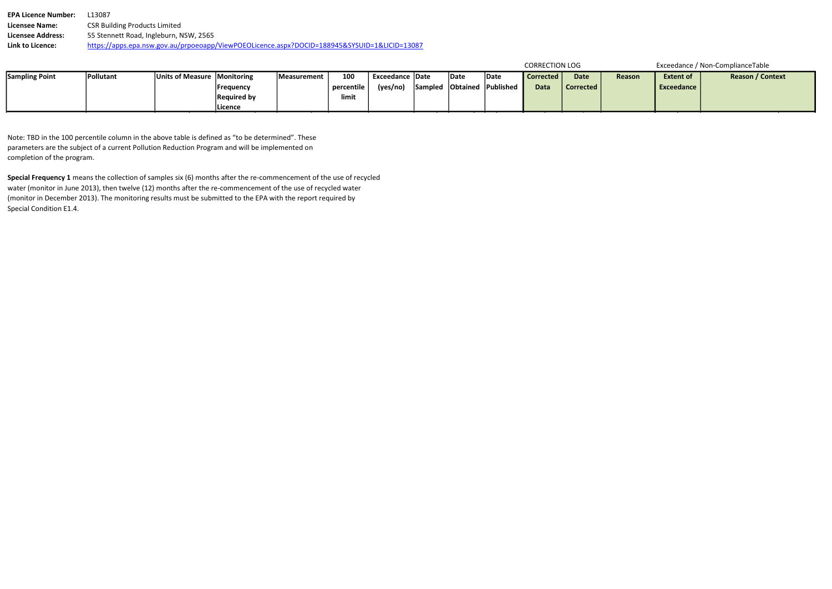EPA Licence Number: L13087 Licensee Name: CSR Building Products Limited Licensee Address: 55 Stennett Road, Ingleburn, NSW, 2565 Link to Licence: https://apps.epa.nsw.gov.au/prpoeoapp/ViewPOEOLicence.aspx?DOCID=188945&SYSUID=1&LICID=13087

| <b>CORRECTION LOG</b> |  |
|-----------------------|--|
|                       |  |
|                       |  |

| <b>Sampling Point</b> | 'Pollutant | Units of Measure Monitoring |                    | Measurement | 100        | <b>Exceedance   Date</b> | Date | Date                       | l Corrected | <b>Date</b> | Reason | <b>Extent of</b> | <b>Reason / Context</b> |
|-----------------------|------------|-----------------------------|--------------------|-------------|------------|--------------------------|------|----------------------------|-------------|-------------|--------|------------------|-------------------------|
|                       |            |                             | <b>Frequency</b>   |             | percentile | (yes/no)                 |      | Sampled Obtained Published | <b>Data</b> | Corrected   |        | Exceedance       |                         |
|                       |            |                             | <b>Required by</b> |             | limit      |                          |      |                            |             |             |        |                  |                         |
|                       |            |                             | Licence            |             |            |                          |      |                            |             |             |        |                  |                         |

Note: TBD in the 100 percentile column in the above table is defined as "to be determined". These parameters are the subject of a current Pollution Reduction Program and will be implemented on completion of the program.

Special Frequency 1 means the collection of samples six (6) months after the re-commencement of the use of recycled water (monitor in June 2013), then twelve (12) months after the re-commencement of the use of recycled water (monitor in December 2013). The monitoring results must be submitted to the EPA with the report required by Special Condition E1.4.

#### Exceedance / Non-ComplianceTable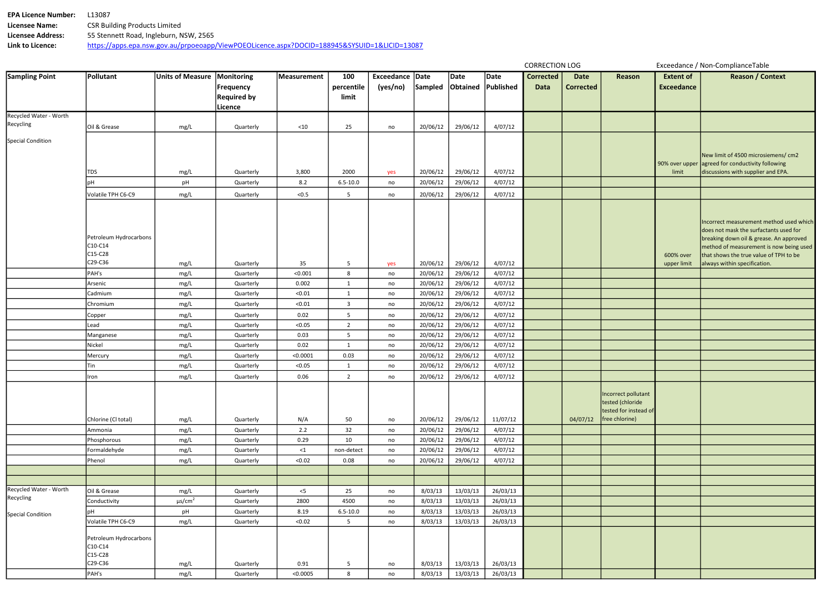| <b>EPA Licence Number:</b> | 13087.                                                                                       |
|----------------------------|----------------------------------------------------------------------------------------------|
| <b>Licensee Name:</b>      | <b>CSR Building Products Limited</b>                                                         |
| Licensee Address:          | 55 Stennett Road, Ingleburn, NSW, 2565                                                       |
| Link to Licence:           | https://apps.epa.nsw.gov.au/prpoeoapp/ViewPOEOLicence.aspx?DOCID=188945&SYSUID=1&LICID=13087 |

| <b>Date</b><br>orrected | <b>Reason</b>                                                                      | <b>Extent of</b><br><b>Exceedance</b> | <b>Reason / Context</b>                                                                                                                                                                                                                           |
|-------------------------|------------------------------------------------------------------------------------|---------------------------------------|---------------------------------------------------------------------------------------------------------------------------------------------------------------------------------------------------------------------------------------------------|
|                         |                                                                                    |                                       |                                                                                                                                                                                                                                                   |
|                         |                                                                                    | 90% over upper<br>limit               | New limit of 4500 microsiemens/ cm2<br>agreed for conductivity following<br>discussions with supplier and EPA.                                                                                                                                    |
|                         |                                                                                    |                                       |                                                                                                                                                                                                                                                   |
|                         |                                                                                    | 600% over<br>upper limit              | Incorrect measurement method used which<br>does not mask the surfactants used for<br>breaking down oil & grease. An approved<br>method of measurement is now being used<br>that shows the true value of TPH to be<br>always within specification. |
|                         |                                                                                    |                                       |                                                                                                                                                                                                                                                   |
|                         |                                                                                    |                                       |                                                                                                                                                                                                                                                   |
|                         |                                                                                    |                                       |                                                                                                                                                                                                                                                   |
|                         |                                                                                    |                                       |                                                                                                                                                                                                                                                   |
|                         |                                                                                    |                                       |                                                                                                                                                                                                                                                   |
|                         |                                                                                    |                                       |                                                                                                                                                                                                                                                   |
|                         |                                                                                    |                                       |                                                                                                                                                                                                                                                   |
|                         |                                                                                    |                                       |                                                                                                                                                                                                                                                   |
|                         |                                                                                    |                                       |                                                                                                                                                                                                                                                   |
|                         |                                                                                    |                                       |                                                                                                                                                                                                                                                   |
| 04/07/12                | Incorrect pollutant<br>tested (chloride<br>tested for instead of<br>free chlorine) |                                       |                                                                                                                                                                                                                                                   |
|                         |                                                                                    |                                       |                                                                                                                                                                                                                                                   |
|                         |                                                                                    |                                       |                                                                                                                                                                                                                                                   |
|                         |                                                                                    |                                       |                                                                                                                                                                                                                                                   |
|                         |                                                                                    |                                       |                                                                                                                                                                                                                                                   |
|                         |                                                                                    |                                       |                                                                                                                                                                                                                                                   |
|                         |                                                                                    |                                       |                                                                                                                                                                                                                                                   |
|                         |                                                                                    |                                       |                                                                                                                                                                                                                                                   |
|                         |                                                                                    |                                       |                                                                                                                                                                                                                                                   |
|                         |                                                                                    |                                       |                                                                                                                                                                                                                                                   |
|                         |                                                                                    |                                       |                                                                                                                                                                                                                                                   |
|                         |                                                                                    |                                       |                                                                                                                                                                                                                                                   |

| <b>Sampling Point</b>    | Pollutant                           | Units of Measure   Monitoring |                        | Measurement        | 100                | Exceedance Date |                      | Date                 | Date               | <b>Corrected</b> | <b>Date</b>      | Reason                                 |
|--------------------------|-------------------------------------|-------------------------------|------------------------|--------------------|--------------------|-----------------|----------------------|----------------------|--------------------|------------------|------------------|----------------------------------------|
|                          |                                     |                               | Frequency              |                    | percentile         | (yes/no)        | Sampled              |                      | Obtained Published | <b>Data</b>      | <b>Corrected</b> |                                        |
|                          |                                     |                               | <b>Required by</b>     |                    | limit              |                 |                      |                      |                    |                  |                  |                                        |
|                          |                                     |                               | Licence                |                    |                    |                 |                      |                      |                    |                  |                  |                                        |
| Recycled Water - Worth   |                                     |                               |                        |                    |                    |                 |                      |                      |                    |                  |                  |                                        |
| Recycling                | Oil & Grease                        | mg/L                          | Quarterly              | ${<}10$            | 25                 | no              | 20/06/12             | 29/06/12             | 4/07/12            |                  |                  |                                        |
| <b>Special Condition</b> |                                     |                               |                        |                    |                    |                 |                      |                      |                    |                  |                  |                                        |
|                          |                                     |                               |                        |                    |                    |                 |                      |                      |                    |                  |                  |                                        |
|                          |                                     |                               |                        |                    |                    |                 |                      |                      |                    |                  |                  |                                        |
|                          | <b>TDS</b>                          | mg/L                          | Quarterly              | 3,800              | 2000               | yes             | 20/06/12             | 29/06/12             | 4/07/12            |                  |                  |                                        |
|                          | pH                                  | pH                            | Quarterly              | 8.2                | $6.5 - 10.0$       | no              | 20/06/12             | 29/06/12             | 4/07/12            |                  |                  |                                        |
|                          | Volatile TPH C6-C9                  | mg/L                          | Quarterly              | < 0.5              | 5                  | no              | 20/06/12             | 29/06/12             | 4/07/12            |                  |                  |                                        |
|                          |                                     |                               |                        |                    |                    |                 |                      |                      |                    |                  |                  |                                        |
|                          |                                     |                               |                        |                    |                    |                 |                      |                      |                    |                  |                  |                                        |
|                          |                                     |                               |                        |                    |                    |                 |                      |                      |                    |                  |                  |                                        |
|                          |                                     |                               |                        |                    |                    |                 |                      |                      |                    |                  |                  |                                        |
|                          | Petroleum Hydrocarbons<br>$C10-C14$ |                               |                        |                    |                    |                 |                      |                      |                    |                  |                  |                                        |
|                          | $C15-C28$                           |                               |                        |                    |                    |                 |                      |                      |                    |                  |                  |                                        |
|                          | C29-C36                             | mg/L                          | Quarterly              | 35                 | 5                  | yes             | 20/06/12             | 29/06/12             | 4/07/12            |                  |                  |                                        |
|                          | PAH's                               | mg/L                          | Quarterly              | < 0.001            | 8                  | no              | 20/06/12             | 29/06/12             | 4/07/12            |                  |                  |                                        |
|                          | Arsenic                             | mg/L                          | Quarterly              | 0.002              | $\mathbf{1}$       | no              | 20/06/12             | 29/06/12             | 4/07/12            |                  |                  |                                        |
|                          | Cadmium                             | mg/L                          | Quarterly              | < 0.01             | $\mathbf{1}$       | no              | 20/06/12             | 29/06/12             | 4/07/12            |                  |                  |                                        |
|                          | Chromium                            | mg/L                          | Quarterly              | < 0.01             | 3                  | no              | 20/06/12             | 29/06/12             | 4/07/12            |                  |                  |                                        |
|                          | Copper                              | mg/L                          | Quarterly              | 0.02               | 5                  | no              | 20/06/12             | 29/06/12             | 4/07/12            |                  |                  |                                        |
|                          | Lead                                | mg/L                          | Quarterly              | < 0.05             | $\overline{2}$     | no              | 20/06/12             | 29/06/12             | 4/07/12            |                  |                  |                                        |
|                          | Manganese                           | mg/L                          | Quarterly              | 0.03               | 5                  | no              | 20/06/12             | 29/06/12             | 4/07/12            |                  |                  |                                        |
|                          | Nickel                              | mg/L                          | Quarterly              | 0.02               | $\mathbf{1}$       | no              | 20/06/12             | 29/06/12             | 4/07/12            |                  |                  |                                        |
|                          | Mercury                             | mg/L                          | Quarterly              | < 0.0001           | 0.03               | no              | 20/06/12             | 29/06/12             | 4/07/12            |                  |                  |                                        |
|                          | Tin                                 | mg/L                          | Quarterly              | < 0.05             | $\mathbf{1}$       | no              | 20/06/12             | 29/06/12             | 4/07/12            |                  |                  |                                        |
|                          | Iron                                | mg/L                          | Quarterly              | 0.06               | $\overline{2}$     | no              | 20/06/12             | 29/06/12             | 4/07/12            |                  |                  |                                        |
|                          |                                     |                               |                        |                    |                    |                 |                      |                      |                    |                  |                  |                                        |
|                          |                                     |                               |                        |                    |                    |                 |                      |                      |                    |                  |                  | Incorrect pollutant                    |
|                          |                                     |                               |                        |                    |                    |                 |                      |                      |                    |                  |                  | tested (chloride                       |
|                          |                                     |                               |                        |                    |                    |                 |                      |                      |                    |                  |                  | tested for instead c<br>free chlorine) |
|                          | Chlorine (Cl total)                 | mg/L                          | Quarterly              | N/A                | 50                 | no              | 20/06/12             | 29/06/12             | 11/07/12           |                  | 04/07/12         |                                        |
|                          | Ammonia                             | mg/L                          | Quarterly              | 2.2                | 32                 | no              | 20/06/12             | 29/06/12             | 4/07/12            |                  |                  |                                        |
|                          | Phosphorous<br>Formaldehyde         | mg/L                          | Quarterly              | 0.29               | 10                 | no              | 20/06/12<br>20/06/12 | 29/06/12<br>29/06/12 | 4/07/12<br>4/07/12 |                  |                  |                                        |
|                          | Phenol                              | mg/L<br>mg/L                  | Quarterly<br>Quarterly | $\leq 1$<br>< 0.02 | non-detect<br>0.08 | no              | 20/06/12             | 29/06/12             | 4/07/12            |                  |                  |                                        |
|                          |                                     |                               |                        |                    |                    | no              |                      |                      |                    |                  |                  |                                        |
|                          |                                     |                               |                        |                    |                    |                 |                      |                      |                    |                  |                  |                                        |
| Recycled Water - Worth   | Oil & Grease                        | mg/L                          | Quarterly              | $<$ 5              | 25                 | no              | 8/03/13              | 13/03/13             | 26/03/13           |                  |                  |                                        |
| Recycling                | Conductivity                        | $\mu s/cm^2$                  | Quarterly              | 2800               | 4500               | no              | 8/03/13              | 13/03/13             | 26/03/13           |                  |                  |                                        |
|                          | <b>pH</b>                           | pH                            | Quarterly              | 8.19               | $6.5 - 10.0$       | no              | 8/03/13              | 13/03/13             | 26/03/13           |                  |                  |                                        |
| <b>Special Condition</b> | Volatile TPH C6-C9                  | mg/L                          | Quarterly              | < 0.02             | 5                  | no              | 8/03/13              | 13/03/13             | 26/03/13           |                  |                  |                                        |
|                          |                                     |                               |                        |                    |                    |                 |                      |                      |                    |                  |                  |                                        |
|                          | Petroleum Hydrocarbons              |                               |                        |                    |                    |                 |                      |                      |                    |                  |                  |                                        |
|                          | $C10-C14$                           |                               |                        |                    |                    |                 |                      |                      |                    |                  |                  |                                        |
|                          | $C15-C28$<br>C29-C36                |                               |                        |                    |                    |                 |                      |                      |                    |                  |                  |                                        |
|                          |                                     | mg/L                          | Quarterly              | 0.91               | 5                  | no              | 8/03/13              | 13/03/13             | 26/03/13           |                  |                  |                                        |
|                          | PAH's                               | mg/L                          | Quarterly              | < 0.0005           | 8                  | no              | 8/03/13              | 13/03/13             | 26/03/13           |                  |                  |                                        |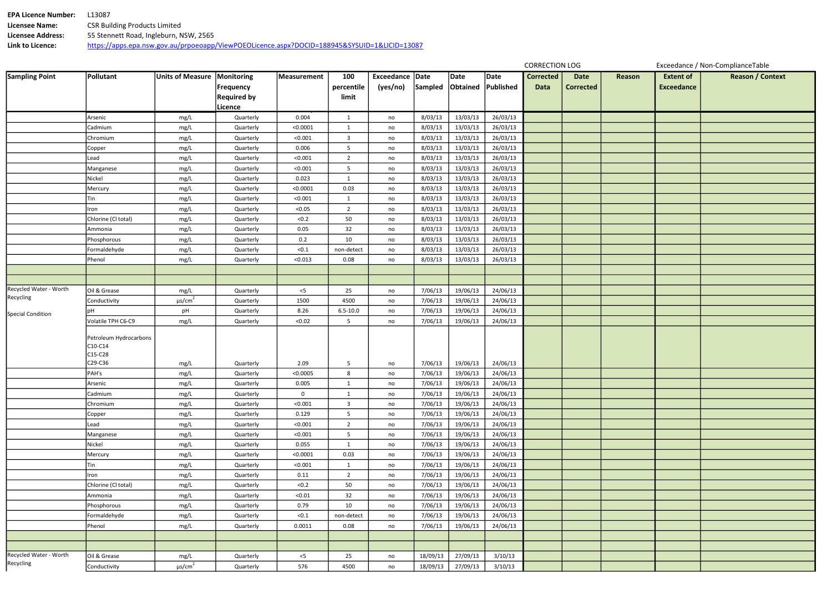| <b>EPA Licence Number:</b> | 13087.                                                                                       |
|----------------------------|----------------------------------------------------------------------------------------------|
| <b>Licensee Name:</b>      | <b>CSR Building Products Limited</b>                                                         |
| <b>Licensee Address:</b>   | 55 Stennett Road, Ingleburn, NSW, 2565                                                       |
| Link to Licence:           | https://apps.epa.nsw.gov.au/prpoeoapp/ViewPOEOLicence.aspx?DOCID=188945&SYSUID=1&LICID=13087 |

| Date<br>rrected | Reason | <b>Extent of</b><br><b>Exceedance</b> | <b>Reason / Context</b> |
|-----------------|--------|---------------------------------------|-------------------------|
|                 |        |                                       |                         |
|                 |        |                                       |                         |
|                 |        |                                       |                         |
|                 |        |                                       |                         |
|                 |        |                                       |                         |
|                 |        |                                       |                         |
|                 |        |                                       |                         |
|                 |        |                                       |                         |
|                 |        |                                       |                         |
|                 |        |                                       |                         |
|                 |        |                                       |                         |
|                 |        |                                       |                         |
|                 |        |                                       |                         |
|                 |        |                                       |                         |
|                 |        |                                       |                         |
|                 |        |                                       |                         |
|                 |        |                                       |                         |
|                 |        |                                       |                         |
|                 |        |                                       |                         |
|                 |        |                                       |                         |
|                 |        |                                       |                         |
|                 |        |                                       |                         |
|                 |        |                                       |                         |
|                 |        |                                       |                         |
|                 |        |                                       |                         |
|                 |        |                                       |                         |
|                 |        |                                       |                         |
|                 |        |                                       |                         |
|                 |        |                                       |                         |
|                 |        |                                       |                         |
|                 |        |                                       |                         |
|                 |        |                                       |                         |
|                 |        |                                       |                         |
|                 |        |                                       |                         |
|                 |        |                                       |                         |
|                 |        |                                       |                         |
|                 |        |                                       |                         |
|                 |        |                                       |                         |
|                 |        |                                       |                         |
|                 |        |                                       |                         |

| <b>Sampling Point</b>    | Pollutant              | <b>Units of Measure</b> | Monitoring         | Measurement | 100            | Exceedance Date |          | Date     | Date      | <b>Corrected</b> | <b>Date</b>      | Rea |
|--------------------------|------------------------|-------------------------|--------------------|-------------|----------------|-----------------|----------|----------|-----------|------------------|------------------|-----|
|                          |                        |                         | <b>Frequency</b>   |             | percentile     | (yes/no)        | Sampled  | Obtained | Published | <b>Data</b>      | <b>Corrected</b> |     |
|                          |                        |                         | <b>Required by</b> |             | limit          |                 |          |          |           |                  |                  |     |
|                          |                        |                         | Licence            |             |                |                 |          |          |           |                  |                  |     |
|                          | Arsenic                | mg/L                    | Quarterly          | 0.004       | $\mathbf{1}$   | no              | 8/03/13  | 13/03/13 | 26/03/13  |                  |                  |     |
|                          | Cadmium                | mg/L                    | Quarterly          | < 0.0001    | $\mathbf{1}$   | no              | 8/03/13  | 13/03/13 | 26/03/13  |                  |                  |     |
|                          | Chromium               | mg/L                    | Quarterly          | < 0.001     | $\mathbf{3}$   | no              | 8/03/13  | 13/03/13 | 26/03/13  |                  |                  |     |
|                          | Copper                 | mg/L                    | Quarterly          | 0.006       | 5              | no              | 8/03/13  | 13/03/13 | 26/03/13  |                  |                  |     |
|                          | Lead                   | mg/L                    | Quarterly          | < 0.001     | $\overline{2}$ | no              | 8/03/13  | 13/03/13 | 26/03/13  |                  |                  |     |
|                          | Manganese              | mg/L                    | Quarterly          | < 0.001     | 5              | no              | 8/03/13  | 13/03/13 | 26/03/13  |                  |                  |     |
|                          | Nickel                 | mg/L                    | Quarterly          | 0.023       | $\mathbf{1}$   | no              | 8/03/13  | 13/03/13 | 26/03/13  |                  |                  |     |
|                          | Mercury                | mg/L                    | Quarterly          | < 0.0001    | 0.03           | no              | 8/03/13  | 13/03/13 | 26/03/13  |                  |                  |     |
|                          | Tin                    | mg/L                    | Quarterly          | < 0.001     | $\mathbf{1}$   | no              | 8/03/13  | 13/03/13 | 26/03/13  |                  |                  |     |
|                          | Iron                   | mg/L                    | Quarterly          | < 0.05      | $\overline{2}$ | no              | 8/03/13  | 13/03/13 | 26/03/13  |                  |                  |     |
|                          | Chlorine (Cl total)    | mg/L                    | Quarterly          | < 0.2       | 50             | no              | 8/03/13  | 13/03/13 | 26/03/13  |                  |                  |     |
|                          | Ammonia                | mg/L                    | Quarterly          | 0.05        | 32             | no              | 8/03/13  | 13/03/13 | 26/03/13  |                  |                  |     |
|                          | Phosphorous            | mg/L                    | Quarterly          | 0.2         | 10             | no              | 8/03/13  | 13/03/13 | 26/03/13  |                  |                  |     |
|                          | Formaldehyde           | mg/L                    | Quarterly          | < 0.1       | non-detect     | no              | 8/03/13  | 13/03/13 | 26/03/13  |                  |                  |     |
|                          | Phenol                 | mg/L                    | Quarterly          | < 0.013     | 0.08           | no              | 8/03/13  | 13/03/13 | 26/03/13  |                  |                  |     |
|                          |                        |                         |                    |             |                |                 |          |          |           |                  |                  |     |
|                          |                        |                         |                    |             |                |                 |          |          |           |                  |                  |     |
| Recycled Water - Worth   | Oil & Grease           | mg/L                    | Quarterly          | $<$ 5       | 25             | no              | 7/06/13  | 19/06/13 | 24/06/13  |                  |                  |     |
| Recycling                | Conductivity           | $\mu s/cm^2$            | Quarterly          | 1500        | 4500           | no              | 7/06/13  | 19/06/13 | 24/06/13  |                  |                  |     |
| <b>Special Condition</b> | рH                     | pH                      | Quarterly          | 8.26        | $6.5 - 10.0$   | no              | 7/06/13  | 19/06/13 | 24/06/13  |                  |                  |     |
|                          | Volatile TPH C6-C9     | mg/L                    | Quarterly          | < 0.02      | 5              | no              | 7/06/13  | 19/06/13 | 24/06/13  |                  |                  |     |
|                          |                        |                         |                    |             |                |                 |          |          |           |                  |                  |     |
|                          | Petroleum Hydrocarbons |                         |                    |             |                |                 |          |          |           |                  |                  |     |
|                          | C10-C14<br>C15-C28     |                         |                    |             |                |                 |          |          |           |                  |                  |     |
|                          | C29-C36                | mg/L                    | Quarterly          | 2.09        | 5              | no              | 7/06/13  | 19/06/13 | 24/06/13  |                  |                  |     |
|                          | PAH's                  | mg/L                    | Quarterly          | < 0.0005    | 8              | no              | 7/06/13  | 19/06/13 | 24/06/13  |                  |                  |     |
|                          | Arsenic                | mg/L                    | Quarterly          | 0.005       | 1              | no              | 7/06/13  | 19/06/13 | 24/06/13  |                  |                  |     |
|                          | Cadmium                | mg/L                    | Quarterly          | 0           | $\mathbf{1}$   | no              | 7/06/13  | 19/06/13 | 24/06/13  |                  |                  |     |
|                          | Chromium               | mg/L                    | Quarterly          | < 0.001     | $\mathbf{3}$   | no              | 7/06/13  | 19/06/13 | 24/06/13  |                  |                  |     |
|                          | Copper                 | mg/L                    | Quarterly          | 0.129       | 5              | no              | 7/06/13  | 19/06/13 | 24/06/13  |                  |                  |     |
|                          | Lead                   | mg/L                    | Quarterly          | < 0.001     | $\overline{2}$ | no              | 7/06/13  | 19/06/13 | 24/06/13  |                  |                  |     |
|                          | Manganese              | mg/L                    | Quarterly          | < 0.001     | 5              | no              | 7/06/13  | 19/06/13 | 24/06/13  |                  |                  |     |
|                          | Nickel                 | mg/L                    | Quarterly          | 0.055       | $\mathbf{1}$   | no              | 7/06/13  | 19/06/13 | 24/06/13  |                  |                  |     |
|                          | Mercury                | mg/L                    | Quarterly          | < 0.0001    | 0.03           | no              | 7/06/13  | 19/06/13 | 24/06/13  |                  |                  |     |
|                          | Tin                    | mg/L                    | Quarterly          | < 0.001     | $\mathbf{1}$   | no              | 7/06/13  | 19/06/13 | 24/06/13  |                  |                  |     |
|                          | Iron                   | mg/L                    | Quarterly          | 0.11        | $2^{\circ}$    | no              | 7/06/13  | 19/06/13 | 24/06/13  |                  |                  |     |
|                          | Chlorine (Cl total)    | mg/L                    | Quarterly          | < 0.2       | 50             | no              | 7/06/13  | 19/06/13 | 24/06/13  |                  |                  |     |
|                          | Ammonia                | mg/L                    | Quarterly          | < 0.01      | 32             | no              | 7/06/13  | 19/06/13 | 24/06/13  |                  |                  |     |
|                          | Phosphorous            | mg/L                    | Quarterly          | 0.79        | 10             | no              | 7/06/13  | 19/06/13 | 24/06/13  |                  |                  |     |
|                          | Formaldehyde           | mg/L                    | Quarterly          | < 0.1       | non-detect     | no              | 7/06/13  | 19/06/13 | 24/06/13  |                  |                  |     |
|                          | Phenol                 | mg/L                    | Quarterly          | 0.0011      | 0.08           | no              | 7/06/13  | 19/06/13 | 24/06/13  |                  |                  |     |
|                          |                        |                         |                    |             |                |                 |          |          |           |                  |                  |     |
|                          |                        |                         |                    |             |                |                 |          |          |           |                  |                  |     |
| Recycled Water - Worth   | Oil & Grease           | mg/L                    | Quarterly          | $<$ 5       | 25             | no              | 18/09/13 | 27/09/13 | 3/10/13   |                  |                  |     |
| Recycling                | Conductivity           | $\mu s/cm^2$            | Quarterly          | 576         | 4500           | no              | 18/09/13 | 27/09/13 | 3/10/13   |                  |                  |     |
|                          |                        |                         |                    |             |                |                 |          |          |           |                  |                  |     |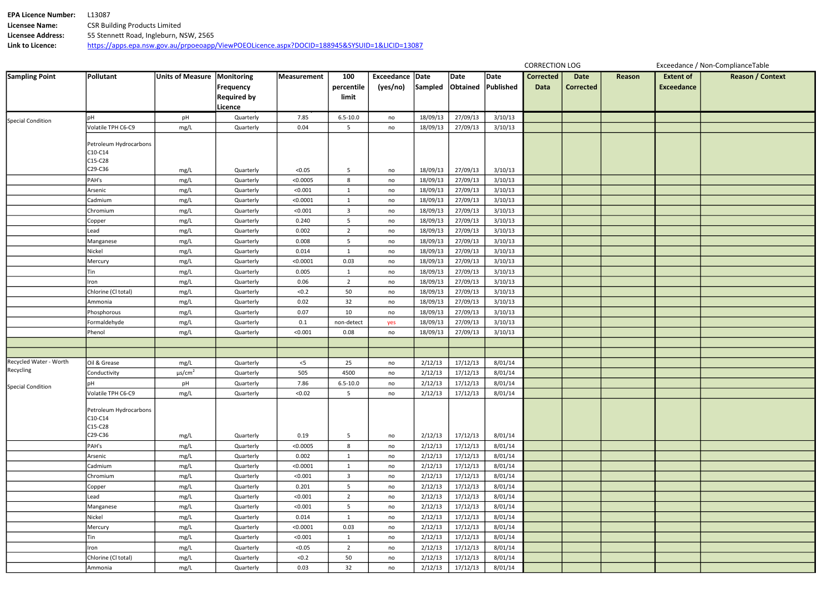| <b>EPA Licence Number:</b> | 13087                                                                                        |
|----------------------------|----------------------------------------------------------------------------------------------|
| Licensee Name:             | <b>CSR Building Products Limited</b>                                                         |
| Licensee Address:          | 55 Stennett Road, Ingleburn, NSW, 2565                                                       |
| Link to Licence:           | https://apps.epa.nsw.gov.au/prpoeoapp/ViewPOEOLicence.aspx?DOCID=188945&SYSUID=1&LICID=13087 |

| Date<br>rrected | Reason | <b>Extent of</b><br><b>Exceedance</b> | <b>Reason / Context</b> |
|-----------------|--------|---------------------------------------|-------------------------|
|                 |        |                                       |                         |
|                 |        |                                       |                         |
|                 |        |                                       |                         |
|                 |        |                                       |                         |
|                 |        |                                       |                         |
|                 |        |                                       |                         |
|                 |        |                                       |                         |
|                 |        |                                       |                         |
|                 |        |                                       |                         |
|                 |        |                                       |                         |
|                 |        |                                       |                         |
|                 |        |                                       |                         |
|                 |        |                                       |                         |
|                 |        |                                       |                         |
|                 |        |                                       |                         |
|                 |        |                                       |                         |
|                 |        |                                       |                         |
|                 |        |                                       |                         |
|                 |        |                                       |                         |
|                 |        |                                       |                         |
|                 |        |                                       |                         |
|                 |        |                                       |                         |
|                 |        |                                       |                         |
|                 |        |                                       |                         |
|                 |        |                                       |                         |
|                 |        |                                       |                         |
|                 |        |                                       |                         |
|                 |        |                                       |                         |
|                 |        |                                       |                         |
|                 |        |                                       |                         |
|                 |        |                                       |                         |
|                 |        |                                       |                         |
|                 |        |                                       |                         |
|                 |        |                                       |                         |
|                 |        |                                       |                         |
|                 |        |                                       |                         |
|                 |        |                                       |                         |
|                 |        |                                       |                         |
|                 |        |                                       |                         |
|                 |        |                                       |                         |
|                 |        |                                       |                         |
|                 |        |                                       |                         |
|                 |        |                                       |                         |

| <b>Sampling Point</b>    | Pollutant                         | <b>Units of Measure</b> | Monitoring         | Measurement | 100                     | <b>Exceedance</b> | Date     | Date     | Date      | <b>Corrected</b> | <b>Date</b>      | Re |
|--------------------------|-----------------------------------|-------------------------|--------------------|-------------|-------------------------|-------------------|----------|----------|-----------|------------------|------------------|----|
|                          |                                   |                         | <b>Frequency</b>   |             | percentile              | (yes/no)          | Sampled  | Obtained | Published | <b>Data</b>      | <b>Corrected</b> |    |
|                          |                                   |                         | <b>Required by</b> |             | limit                   |                   |          |          |           |                  |                  |    |
|                          |                                   |                         | Licence            |             |                         |                   |          |          |           |                  |                  |    |
|                          | pH                                | pH                      | Quarterly          | 7.85        | $6.5 - 10.0$            | no                | 18/09/13 | 27/09/13 | 3/10/13   |                  |                  |    |
| <b>Special Condition</b> | Volatile TPH C6-C9                | mg/L                    | Quarterly          | 0.04        | 5                       | no                | 18/09/13 | 27/09/13 | 3/10/13   |                  |                  |    |
|                          |                                   |                         |                    |             |                         |                   |          |          |           |                  |                  |    |
|                          | Petroleum Hydrocarbons            |                         |                    |             |                         |                   |          |          |           |                  |                  |    |
|                          | C10-C14<br>C15-C28                |                         |                    |             |                         |                   |          |          |           |                  |                  |    |
|                          | C29-C36                           | mg/L                    | Quarterly          | < 0.05      | 5                       | no                | 18/09/13 | 27/09/13 | 3/10/13   |                  |                  |    |
|                          | PAH's                             | mg/L                    | Quarterly          | < 0.0005    | 8                       | no                | 18/09/13 | 27/09/13 | 3/10/13   |                  |                  |    |
|                          | Arsenic                           | mg/L                    | Quarterly          | < 0.001     | $\mathbf{1}$            | no                | 18/09/13 | 27/09/13 | 3/10/13   |                  |                  |    |
|                          | Cadmium                           | mg/L                    | Quarterly          | < 0.0001    | $\mathbf{1}$            | no                | 18/09/13 | 27/09/13 | 3/10/13   |                  |                  |    |
|                          | Chromium                          | mg/L                    | Quarterly          | < 0.001     | 3                       | no                | 18/09/13 | 27/09/13 | 3/10/13   |                  |                  |    |
|                          | Copper                            | mg/L                    | Quarterly          | 0.240       | 5                       | no                | 18/09/13 | 27/09/13 | 3/10/13   |                  |                  |    |
|                          | Lead                              | mg/L                    | Quarterly          | 0.002       | $\overline{2}$          | no                | 18/09/13 | 27/09/13 | 3/10/13   |                  |                  |    |
|                          | Manganese                         | mg/L                    | Quarterly          | 0.008       | 5                       | no                | 18/09/13 | 27/09/13 | 3/10/13   |                  |                  |    |
|                          | Nickel                            | mg/L                    | Quarterly          | 0.014       | $\mathbf{1}$            | no                | 18/09/13 | 27/09/13 | 3/10/13   |                  |                  |    |
|                          | Mercury                           | mg/L                    | Quarterly          | < 0.0001    | 0.03                    | no                | 18/09/13 | 27/09/13 | 3/10/13   |                  |                  |    |
|                          | Tin                               | mg/L                    | Quarterly          | 0.005       | $\mathbf{1}$            | no                | 18/09/13 | 27/09/13 | 3/10/13   |                  |                  |    |
|                          | Iron                              | mg/L                    | Quarterly          | 0.06        | $\overline{2}$          | no                | 18/09/13 | 27/09/13 | 3/10/13   |                  |                  |    |
|                          | Chlorine (Cl total)               | mg/L                    | Quarterly          | $<0.2$      | 50                      | no                | 18/09/13 | 27/09/13 | 3/10/13   |                  |                  |    |
|                          | Ammonia                           | mg/L                    | Quarterly          | 0.02        | 32                      | no                | 18/09/13 | 27/09/13 | 3/10/13   |                  |                  |    |
|                          | Phosphorous                       | mg/L                    | Quarterly          | 0.07        | 10                      | no                | 18/09/13 | 27/09/13 | 3/10/13   |                  |                  |    |
|                          | Formaldehyde                      | mg/L                    | Quarterly          | $0.1\,$     | non-detect              | yes               | 18/09/13 | 27/09/13 | 3/10/13   |                  |                  |    |
|                          | Phenol                            | mg/L                    | Quarterly          | < 0.001     | 0.08                    | no                | 18/09/13 | 27/09/13 | 3/10/13   |                  |                  |    |
|                          |                                   |                         |                    |             |                         |                   |          |          |           |                  |                  |    |
|                          |                                   |                         |                    |             |                         |                   |          |          |           |                  |                  |    |
| Recycled Water - Worth   | Oil & Grease                      | mg/L                    | Quarterly          | $<$ 5       | 25                      | no                | 2/12/13  | 17/12/13 | 8/01/14   |                  |                  |    |
| Recycling                | Conductivity                      | $\mu s/cm^2$            | Quarterly          | 505         | 4500                    | no                | 2/12/13  | 17/12/13 | 8/01/14   |                  |                  |    |
| Special Condition        | <b>DH</b>                         | pH                      | Quarterly          | 7.86        | $6.5 - 10.0$            | no                | 2/12/13  | 17/12/13 | 8/01/14   |                  |                  |    |
|                          | Volatile TPH C6-C9                | mg/L                    | Quarterly          | < 0.02      | 5                       | no                | 2/12/13  | 17/12/13 | 8/01/14   |                  |                  |    |
|                          |                                   |                         |                    |             |                         |                   |          |          |           |                  |                  |    |
|                          | Petroleum Hydrocarbons<br>C10-C14 |                         |                    |             |                         |                   |          |          |           |                  |                  |    |
|                          | C15-C28                           |                         |                    |             |                         |                   |          |          |           |                  |                  |    |
|                          | C29-C36                           | mg/L                    | Quarterly          | 0.19        | 5                       | no                | 2/12/13  | 17/12/13 | 8/01/14   |                  |                  |    |
|                          | PAH's                             | mg/L                    | Quarterly          | < 0.0005    | 8                       | no                | 2/12/13  | 17/12/13 | 8/01/14   |                  |                  |    |
|                          | Arsenic                           | mg/L                    | Quarterly          | 0.002       | $\mathbf{1}$            | no                | 2/12/13  | 17/12/13 | 8/01/14   |                  |                  |    |
|                          | Cadmium                           | mg/L                    | Quarterly          | < 0.0001    | $\mathbf{1}$            | no                | 2/12/13  | 17/12/13 | 8/01/14   |                  |                  |    |
|                          | Chromium                          | mg/L                    | Quarterly          | < 0.001     | $\overline{\mathbf{3}}$ | no                | 2/12/13  | 17/12/13 | 8/01/14   |                  |                  |    |
|                          | Copper                            | mg/L                    | Quarterly          | 0.201       | 5                       | no                | 2/12/13  | 17/12/13 | 8/01/14   |                  |                  |    |
|                          | Lead                              | mg/L                    | Quarterly          | < 0.001     | $\overline{2}$          | no                | 2/12/13  | 17/12/13 | 8/01/14   |                  |                  |    |
|                          | Manganese                         | mg/L                    | Quarterly          | < 0.001     | 5                       | no                | 2/12/13  | 17/12/13 | 8/01/14   |                  |                  |    |
|                          | Nickel                            | mg/L                    | Quarterly          | 0.014       | $\mathbf{1}$            | no                | 2/12/13  | 17/12/13 | 8/01/14   |                  |                  |    |
|                          | Mercury                           | mg/L                    | Quarterly          | < 0.0001    | 0.03                    | no                | 2/12/13  | 17/12/13 | 8/01/14   |                  |                  |    |
|                          | Tin                               | mg/L                    | Quarterly          | < 0.001     | $\mathbf{1}$            | no                | 2/12/13  | 17/12/13 | 8/01/14   |                  |                  |    |
|                          | Iron                              | mg/L                    | Quarterly          | < 0.05      | $\overline{2}$          | no                | 2/12/13  | 17/12/13 | 8/01/14   |                  |                  |    |
|                          | Chlorine (Cl total)               | mg/L                    | Quarterly          | < 0.2       | 50                      | no                | 2/12/13  | 17/12/13 | 8/01/14   |                  |                  |    |
|                          | Ammonia                           | mg/L                    | Quarterly          | 0.03        | 32                      | no                | 2/12/13  | 17/12/13 | 8/01/14   |                  |                  |    |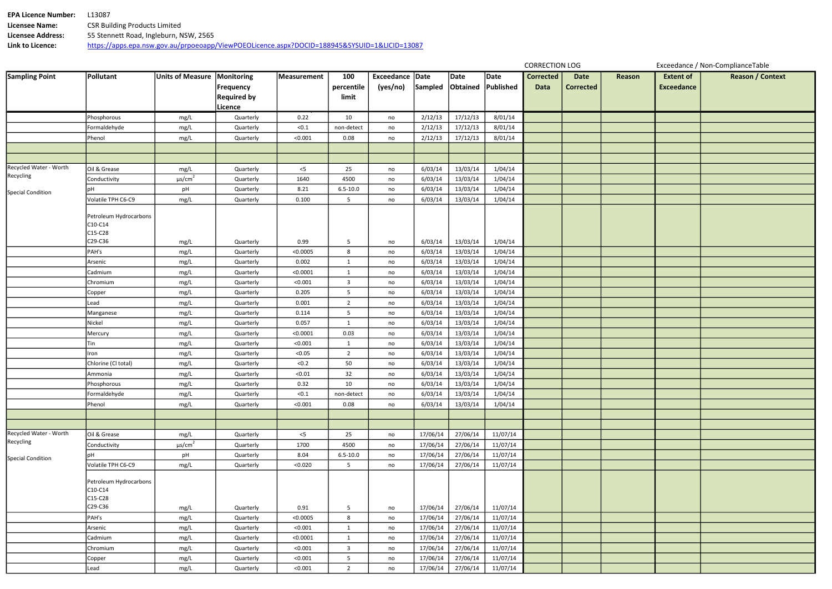| <b>EPA Licence Number:</b> | 13087.                                                                                       |
|----------------------------|----------------------------------------------------------------------------------------------|
| <b>Licensee Name:</b>      | <b>CSR Building Products Limited</b>                                                         |
| <b>Licensee Address:</b>   | 55 Stennett Road, Ingleburn, NSW, 2565                                                       |
| Link to Licence:           | https://apps.epa.nsw.gov.au/prpoeoapp/ViewPOEOLicence.aspx?DOCID=188945&SYSUID=1&LICID=13087 |

| Date<br>rrected | Reason | <b>Extent of</b><br><b>Exceedance</b> | <b>Reason / Context</b> |
|-----------------|--------|---------------------------------------|-------------------------|
|                 |        |                                       |                         |
|                 |        |                                       |                         |
|                 |        |                                       |                         |
|                 |        |                                       |                         |
|                 |        |                                       |                         |
|                 |        |                                       |                         |
|                 |        |                                       |                         |
|                 |        |                                       |                         |
|                 |        |                                       |                         |
|                 |        |                                       |                         |
|                 |        |                                       |                         |
|                 |        |                                       |                         |
|                 |        |                                       |                         |
|                 |        |                                       |                         |
|                 |        |                                       |                         |
|                 |        |                                       |                         |
|                 |        |                                       |                         |
|                 |        |                                       |                         |
|                 |        |                                       |                         |
|                 |        |                                       |                         |
|                 |        |                                       |                         |
|                 |        |                                       |                         |
|                 |        |                                       |                         |
|                 |        |                                       |                         |
|                 |        |                                       |                         |
|                 |        |                                       |                         |
|                 |        |                                       |                         |
|                 |        |                                       |                         |
|                 |        |                                       |                         |
|                 |        |                                       |                         |
|                 |        |                                       |                         |
|                 |        |                                       |                         |
|                 |        |                                       |                         |
|                 |        |                                       |                         |
|                 |        |                                       |                         |
|                 |        |                                       |                         |
|                 |        |                                       |                         |
|                 |        |                                       |                         |
|                 |        |                                       |                         |
|                 |        |                                       |                         |
|                 |        |                                       |                         |
|                 |        |                                       |                         |

| <b>Sampling Point</b>    | Pollutant                         | Units of Measure   Monitoring |                    | Measurement       | 100            | Exceedance Date |          | Date     | Date      | <b>Corrected</b> | <b>Date</b>      | Rea |
|--------------------------|-----------------------------------|-------------------------------|--------------------|-------------------|----------------|-----------------|----------|----------|-----------|------------------|------------------|-----|
|                          |                                   |                               | Frequency          |                   | percentile     | (yes/no)        | Sampled  | Obtained | Published | <b>Data</b>      | <b>Corrected</b> |     |
|                          |                                   |                               | <b>Required by</b> |                   | limit          |                 |          |          |           |                  |                  |     |
|                          |                                   |                               | Licence            |                   |                |                 |          |          |           |                  |                  |     |
|                          | Phosphorous                       | mg/L                          | Quarterly          | 0.22              | 10             | no              | 2/12/13  | 17/12/13 | 8/01/14   |                  |                  |     |
|                          | Formaldehyde                      | mg/L                          | Quarterly          | < 0.1             | non-detect     | no              | 2/12/13  | 17/12/13 | 8/01/14   |                  |                  |     |
|                          | Phenol                            | mg/L                          | Quarterly          | < 0.001           | 0.08           | no              | 2/12/13  | 17/12/13 | 8/01/14   |                  |                  |     |
|                          |                                   |                               |                    |                   |                |                 |          |          |           |                  |                  |     |
|                          |                                   |                               |                    |                   |                |                 |          |          |           |                  |                  |     |
| Recycled Water - Worth   | Oil & Grease                      | mg/L                          | Quarterly          | $<$ 5             | 25             | no              | 6/03/14  | 13/03/14 | 1/04/14   |                  |                  |     |
| Recycling                | Conductivity                      | $\mu s/cm^2$                  | Quarterly          | 1640              | 4500           | no              | 6/03/14  | 13/03/14 | 1/04/14   |                  |                  |     |
| <b>Special Condition</b> | рH                                | pH                            | Quarterly          | 8.21              | $6.5 - 10.0$   | no              | 6/03/14  | 13/03/14 | 1/04/14   |                  |                  |     |
|                          | Volatile TPH C6-C9                | mg/L                          | Quarterly          | 0.100             | 5              | no              | 6/03/14  | 13/03/14 | 1/04/14   |                  |                  |     |
|                          |                                   |                               |                    |                   |                |                 |          |          |           |                  |                  |     |
|                          | Petroleum Hydrocarbons            |                               |                    |                   |                |                 |          |          |           |                  |                  |     |
|                          | C10-C14                           |                               |                    |                   |                |                 |          |          |           |                  |                  |     |
|                          | C15-C28<br>C29-C36                | mg/L                          | Quarterly          | 0.99              | 5              | no              | 6/03/14  | 13/03/14 | 1/04/14   |                  |                  |     |
|                          | PAH's                             | mg/L                          | Quarterly          | < 0.0005          | 8              |                 | 6/03/14  | 13/03/14 | 1/04/14   |                  |                  |     |
|                          |                                   |                               |                    |                   |                | no              |          |          |           |                  |                  |     |
|                          | Arsenic                           | mg/L                          | Quarterly          | 0.002<br>< 0.0001 | $\mathbf{1}$   | no              | 6/03/14  | 13/03/14 | 1/04/14   |                  |                  |     |
|                          | Cadmium                           | mg/L                          | Quarterly          |                   | $\mathbf{1}$   | no              | 6/03/14  | 13/03/14 | 1/04/14   |                  |                  |     |
|                          | Chromium                          | mg/L                          | Quarterly          | < 0.001           | 3              | no              | 6/03/14  | 13/03/14 | 1/04/14   |                  |                  |     |
|                          | Copper                            | mg/L                          | Quarterly          | 0.205             | 5              | no              | 6/03/14  | 13/03/14 | 1/04/14   |                  |                  |     |
|                          | Lead                              | mg/L                          | Quarterly          | 0.001             | $\overline{2}$ | no              | 6/03/14  | 13/03/14 | 1/04/14   |                  |                  |     |
|                          | Manganese                         | mg/L                          | Quarterly          | 0.114             | 5              | no              | 6/03/14  | 13/03/14 | 1/04/14   |                  |                  |     |
|                          | Nickel                            | mg/L                          | Quarterly          | 0.057             | $\mathbf{1}$   | no              | 6/03/14  | 13/03/14 | 1/04/14   |                  |                  |     |
|                          | Mercury                           | mg/L                          | Quarterly          | < 0.0001          | 0.03           | no              | 6/03/14  | 13/03/14 | 1/04/14   |                  |                  |     |
|                          | Tin                               | mg/L                          | Quarterly          | < 0.001           | $\mathbf{1}$   | no              | 6/03/14  | 13/03/14 | 1/04/14   |                  |                  |     |
|                          | Iron                              | mg/L                          | Quarterly          | < 0.05            | $\overline{2}$ | no              | 6/03/14  | 13/03/14 | 1/04/14   |                  |                  |     |
|                          | Chlorine (Cl total)               | mg/L                          | Quarterly          | $<0.2$            | 50             | no              | 6/03/14  | 13/03/14 | 1/04/14   |                  |                  |     |
|                          | Ammonia                           | mg/L                          | Quarterly          | < 0.01            | 32             | no              | 6/03/14  | 13/03/14 | 1/04/14   |                  |                  |     |
|                          | Phosphorous                       | mg/L                          | Quarterly          | 0.32              | 10             | no              | 6/03/14  | 13/03/14 | 1/04/14   |                  |                  |     |
|                          | Formaldehyde                      | mg/L                          | Quarterly          | < 0.1             | non-detect     | no              | 6/03/14  | 13/03/14 | 1/04/14   |                  |                  |     |
|                          | Phenol                            | mg/L                          | Quarterly          | < 0.001           | 0.08           | no              | 6/03/14  | 13/03/14 | 1/04/14   |                  |                  |     |
|                          |                                   |                               |                    |                   |                |                 |          |          |           |                  |                  |     |
|                          |                                   |                               |                    |                   |                |                 |          |          |           |                  |                  |     |
| Recycled Water - Worth   | Oil & Grease                      | mg/L                          | Quarterly          | $<$ 5             | 25             | no              | 17/06/14 | 27/06/14 | 11/07/14  |                  |                  |     |
| Recycling                | Conductivity                      | $\mu$ s/cm <sup>2</sup>       | Quarterly          | 1700              | 4500           | no              | 17/06/14 | 27/06/14 | 11/07/14  |                  |                  |     |
| <b>Special Condition</b> | pH                                | pH                            | Quarterly          | 8.04              | $6.5 - 10.0$   | no              | 17/06/14 | 27/06/14 | 11/07/14  |                  |                  |     |
|                          | Volatile TPH C6-C9                | mg/L                          | Quarterly          | < 0.020           | 5              | no              | 17/06/14 | 27/06/14 | 11/07/14  |                  |                  |     |
|                          |                                   |                               |                    |                   |                |                 |          |          |           |                  |                  |     |
|                          | Petroleum Hydrocarbons<br>C10-C14 |                               |                    |                   |                |                 |          |          |           |                  |                  |     |
|                          | C15-C28                           |                               |                    |                   |                |                 |          |          |           |                  |                  |     |
|                          | C29-C36                           | mg/L                          | Quarterly          | 0.91              | 5              | no              | 17/06/14 | 27/06/14 | 11/07/14  |                  |                  |     |
|                          | PAH's                             | mg/L                          | Quarterly          | < 0.0005          | 8              | no              | 17/06/14 | 27/06/14 | 11/07/14  |                  |                  |     |
|                          | Arsenic                           | mg/L                          | Quarterly          | < 0.001           | $\mathbf{1}$   | no              | 17/06/14 | 27/06/14 | 11/07/14  |                  |                  |     |
|                          | Cadmium                           | mg/L                          | Quarterly          | < 0.0001          | $\mathbf{1}$   | no              | 17/06/14 | 27/06/14 | 11/07/14  |                  |                  |     |
|                          | Chromium                          | mg/L                          | Quarterly          | < 0.001           | $\mathbf{3}$   | no              | 17/06/14 | 27/06/14 | 11/07/14  |                  |                  |     |
|                          | Copper                            | mg/L                          | Quarterly          | < 0.001           | 5              | no              | 17/06/14 | 27/06/14 | 11/07/14  |                  |                  |     |
|                          | Lead                              | mg/L                          | Quarterly          | < 0.001           | $\overline{2}$ | no              | 17/06/14 | 27/06/14 | 11/07/14  |                  |                  |     |
|                          |                                   |                               |                    |                   |                |                 |          |          |           |                  |                  |     |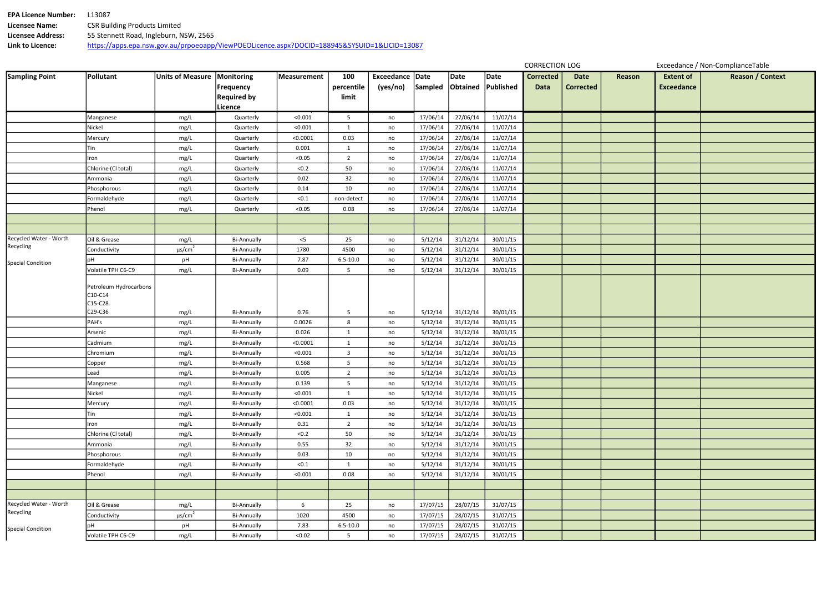| <b>EPA Licence Number:</b> | .13087                                                                                       |
|----------------------------|----------------------------------------------------------------------------------------------|
| <b>Licensee Name:</b>      | <b>CSR Building Products Limited</b>                                                         |
| <b>Licensee Address:</b>   | 55 Stennett Road, Ingleburn, NSW, 2565                                                       |
| Link to Licence:           | https://apps.epa.nsw.gov.au/prpoeoapp/ViewPOEOLicence.aspx?DOCID=188945&SYSUID=1&LICID=13087 |

| Date<br>rrected | Reason | <b>Extent of</b><br><b>Exceedance</b> | <b>Reason / Context</b> |
|-----------------|--------|---------------------------------------|-------------------------|
|                 |        |                                       |                         |
|                 |        |                                       |                         |
|                 |        |                                       |                         |
|                 |        |                                       |                         |
|                 |        |                                       |                         |
|                 |        |                                       |                         |
|                 |        |                                       |                         |
|                 |        |                                       |                         |
|                 |        |                                       |                         |
|                 |        |                                       |                         |
|                 |        |                                       |                         |
|                 |        |                                       |                         |
|                 |        |                                       |                         |
|                 |        |                                       |                         |
|                 |        |                                       |                         |
|                 |        |                                       |                         |
|                 |        |                                       |                         |
|                 |        |                                       |                         |
|                 |        |                                       |                         |
|                 |        |                                       |                         |
|                 |        |                                       |                         |
|                 |        |                                       |                         |
|                 |        |                                       |                         |
|                 |        |                                       |                         |
|                 |        |                                       |                         |
|                 |        |                                       |                         |
|                 |        |                                       |                         |
|                 |        |                                       |                         |
|                 |        |                                       |                         |
|                 |        |                                       |                         |
|                 |        |                                       |                         |
|                 |        |                                       |                         |
|                 |        |                                       |                         |
|                 |        |                                       |                         |
|                 |        |                                       |                         |
|                 |        |                                       |                         |
|                 |        |                                       |                         |
|                 |        |                                       |                         |
|                 |        |                                       |                         |
|                 |        |                                       |                         |
|                 |        |                                       |                         |

| <b>Sampling Point</b>    | Pollutant                                    | <b>Units of Measure</b> | Monitoring<br><b>Frequency</b><br><b>Required by</b> | Measurement | 100<br>percentile<br>limit | <b>Exceedance</b><br>(yes/no) | <b>Date</b><br><b>Sampled</b> | Date<br>Obtained | Date<br>Published | <b>Corrected</b><br><b>Data</b> | <b>Date</b><br><b>Corrected</b> | Rea |
|--------------------------|----------------------------------------------|-------------------------|------------------------------------------------------|-------------|----------------------------|-------------------------------|-------------------------------|------------------|-------------------|---------------------------------|---------------------------------|-----|
|                          | Manganese                                    | mg/L                    | Licence<br>Quarterly                                 | < 0.001     | 5                          | no                            | 17/06/14                      | 27/06/14         | 11/07/14          |                                 |                                 |     |
|                          | Nickel                                       | mg/L                    | Quarterly                                            | < 0.001     | $\mathbf{1}$               | no                            | 17/06/14                      | 27/06/14         | 11/07/14          |                                 |                                 |     |
|                          | Mercury                                      | mg/L                    | Quarterly                                            | < 0.0001    | 0.03                       |                               | 17/06/14                      | 27/06/14         | 11/07/14          |                                 |                                 |     |
|                          | Tin                                          | mg/L                    | Quarterly                                            | 0.001       | $\mathbf{1}$               | no                            | 17/06/14                      | 27/06/14         | 11/07/14          |                                 |                                 |     |
|                          | Iron                                         | mg/L                    | Quarterly                                            | < 0.05      | $\overline{2}$             | no<br>no                      | 17/06/14                      | 27/06/14         | 11/07/14          |                                 |                                 |     |
|                          | Chlorine (Cl total)                          | mg/L                    | Quarterly                                            | $<0.2$      | 50                         | no                            | 17/06/14                      | 27/06/14         | 11/07/14          |                                 |                                 |     |
|                          | Ammonia                                      | mg/L                    | Quarterly                                            | 0.02        | 32                         |                               | 17/06/14                      | 27/06/14         | 11/07/14          |                                 |                                 |     |
|                          | Phosphorous                                  | mg/L                    | Quarterly                                            | 0.14        | 10                         | no                            | 17/06/14                      | 27/06/14         | 11/07/14          |                                 |                                 |     |
|                          | Formaldehyde                                 | mg/L                    | Quarterly                                            | < 0.1       | non-detect                 | no<br>no                      | 17/06/14                      | 27/06/14         | 11/07/14          |                                 |                                 |     |
|                          | Phenol                                       | mg/L                    | Quarterly                                            | < 0.05      | 0.08                       | no                            | 17/06/14                      | 27/06/14         | 11/07/14          |                                 |                                 |     |
|                          |                                              |                         |                                                      |             |                            |                               |                               |                  |                   |                                 |                                 |     |
|                          |                                              |                         |                                                      |             |                            |                               |                               |                  |                   |                                 |                                 |     |
| Recycled Water - Worth   | Oil & Grease                                 | mg/L                    | <b>Bi-Annually</b>                                   | $<$ 5       | 25                         | no                            | 5/12/14                       | 31/12/14         | 30/01/15          |                                 |                                 |     |
| Recycling                | Conductivity                                 | $\mu s/cm^2$            | <b>Bi-Annually</b>                                   | 1780        | 4500                       | no                            | 5/12/14                       | 31/12/14         | 30/01/15          |                                 |                                 |     |
|                          | рH                                           |                         | <b>Bi-Annually</b>                                   | 7.87        | $6.5 - 10.0$               |                               | 5/12/14                       | 31/12/14         | 30/01/15          |                                 |                                 |     |
| <b>Special Condition</b> | Volatile TPH C6-C9                           | pH<br>mg/L              | <b>Bi-Annually</b>                                   | 0.09        | 5                          | no<br>no                      | 5/12/14                       | 31/12/14         | 30/01/15          |                                 |                                 |     |
|                          | Petroleum Hydrocarbons<br>C10-C14<br>C15-C28 |                         |                                                      |             |                            |                               |                               |                  |                   |                                 |                                 |     |
|                          | C29-C36                                      | mg/L                    | <b>Bi-Annually</b>                                   | 0.76        | 5                          | no                            | 5/12/14                       | 31/12/14         | 30/01/15          |                                 |                                 |     |
|                          | PAH's                                        | mg/L                    | <b>Bi-Annually</b>                                   | 0.0026      | 8                          | no                            | 5/12/14                       | 31/12/14         | 30/01/15          |                                 |                                 |     |
|                          | Arsenic                                      | mg/L                    | <b>Bi-Annually</b>                                   | 0.026       | $\mathbf{1}$               | no                            | 5/12/14                       | 31/12/14         | 30/01/15          |                                 |                                 |     |
|                          | Cadmium                                      | mg/L                    | <b>Bi-Annually</b>                                   | < 0.0001    | $\mathbf{1}$               | no                            | 5/12/14                       | 31/12/14         | 30/01/15          |                                 |                                 |     |
|                          | Chromium                                     | mg/L                    | <b>Bi-Annually</b>                                   | < 0.001     | $\mathbf{3}$               | no                            | 5/12/14                       | 31/12/14         | 30/01/15          |                                 |                                 |     |
|                          | Copper                                       | mg/L                    | <b>Bi-Annually</b>                                   | 0.568       | 5                          | no                            | 5/12/14                       | 31/12/14         | 30/01/15          |                                 |                                 |     |
|                          | Lead                                         | mg/L                    | <b>Bi-Annually</b>                                   | 0.005       | $\overline{2}$             | no                            | 5/12/14                       | 31/12/14         | 30/01/15          |                                 |                                 |     |
|                          | Manganese                                    | mg/L                    | <b>Bi-Annually</b>                                   | 0.139       | 5                          | no                            | 5/12/14                       | 31/12/14         | 30/01/15          |                                 |                                 |     |
|                          | Nickel                                       | mg/L                    | <b>Bi-Annually</b>                                   | < 0.001     | $\mathbf{1}$               | no                            | 5/12/14                       | 31/12/14         | 30/01/15          |                                 |                                 |     |
|                          | Mercury                                      | mg/L                    | <b>Bi-Annually</b>                                   | < 0.0001    | 0.03                       | no                            | 5/12/14                       | 31/12/14         | 30/01/15          |                                 |                                 |     |
|                          | Tin                                          | mg/L                    | <b>Bi-Annually</b>                                   | < 0.001     | $\mathbf{1}$               | no                            | 5/12/14                       | 31/12/14         | 30/01/15          |                                 |                                 |     |
|                          | Iron                                         | mg/L                    | <b>Bi-Annually</b>                                   | 0.31        | $\overline{2}$             | no                            | 5/12/14                       | 31/12/14         | 30/01/15          |                                 |                                 |     |
|                          | Chlorine (Cl total)                          | mg/L                    | <b>Bi-Annually</b>                                   | < 0.2       | 50                         | no                            | 5/12/14                       | 31/12/14         | 30/01/15          |                                 |                                 |     |
|                          | Ammonia                                      | mg/L                    | <b>Bi-Annually</b>                                   | 0.55        | 32                         | no                            | 5/12/14                       | 31/12/14         | 30/01/15          |                                 |                                 |     |
|                          | Phosphorous                                  | mg/L                    | <b>Bi-Annually</b>                                   | 0.03        | 10                         | no                            | 5/12/14                       | 31/12/14         | 30/01/15          |                                 |                                 |     |
|                          | Formaldehyde                                 | mg/L                    | <b>Bi-Annually</b>                                   | < 0.1       | $\mathbf{1}$               | no                            | 5/12/14                       | 31/12/14         | 30/01/15          |                                 |                                 |     |
|                          | Phenol                                       | mg/L                    | <b>Bi-Annually</b>                                   | < 0.001     | 0.08                       | no                            | 5/12/14                       | 31/12/14         | 30/01/15          |                                 |                                 |     |
|                          |                                              |                         |                                                      |             |                            |                               |                               |                  |                   |                                 |                                 |     |
|                          |                                              |                         |                                                      |             |                            |                               |                               |                  |                   |                                 |                                 |     |
| Recycled Water - Worth   | Oil & Grease                                 | mg/L                    | <b>Bi-Annually</b>                                   | 6           | 25                         | no                            | 17/07/15                      | 28/07/15         | 31/07/15          |                                 |                                 |     |
| Recycling                | Conductivity                                 | $\mu$ s/cm <sup>2</sup> | <b>Bi-Annually</b>                                   | 1020        | 4500                       | no                            | 17/07/15                      | 28/07/15         | 31/07/15          |                                 |                                 |     |
|                          | pH                                           | pH                      | <b>Bi-Annually</b>                                   | 7.83        | $6.5 - 10.0$               | no                            | 17/07/15                      | 28/07/15         | 31/07/15          |                                 |                                 |     |
| Special Condition        | Volatile TPH C6-C9                           | mg/L                    | <b>Bi-Annually</b>                                   | < 0.02      | 5                          | no                            | 17/07/15                      | 28/07/15         | 31/07/15          |                                 |                                 |     |
|                          |                                              |                         |                                                      |             |                            |                               |                               |                  |                   |                                 |                                 |     |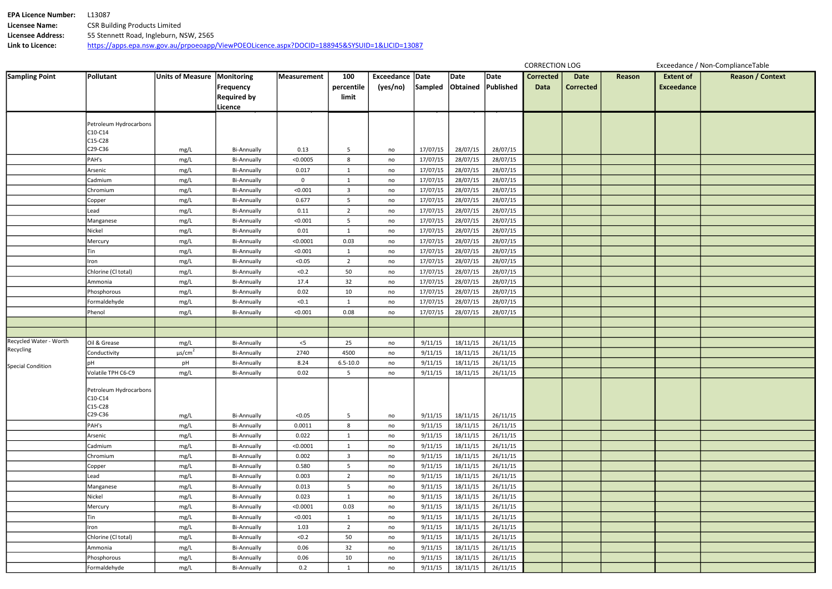| <b>EPA Licence Number:</b> | .13087                                                                                       |
|----------------------------|----------------------------------------------------------------------------------------------|
| <b>Licensee Name:</b>      | <b>CSR Building Products Limited</b>                                                         |
| <b>Licensee Address:</b>   | 55 Stennett Road, Ingleburn, NSW, 2565                                                       |
| Link to Licence:           | https://apps.epa.nsw.gov.au/prpoeoapp/ViewPOEOLicence.aspx?DOCID=188945&SYSUID=1&LICID=13087 |

| Date<br>rrected | Reason | <b>Extent of</b><br><b>Exceedance</b> | <b>Reason / Context</b> |
|-----------------|--------|---------------------------------------|-------------------------|
|                 |        |                                       |                         |
|                 |        |                                       |                         |
|                 |        |                                       |                         |
|                 |        |                                       |                         |
|                 |        |                                       |                         |
|                 |        |                                       |                         |
|                 |        |                                       |                         |
|                 |        |                                       |                         |
|                 |        |                                       |                         |
|                 |        |                                       |                         |
|                 |        |                                       |                         |
|                 |        |                                       |                         |
|                 |        |                                       |                         |
|                 |        |                                       |                         |
|                 |        |                                       |                         |
|                 |        |                                       |                         |
|                 |        |                                       |                         |
|                 |        |                                       |                         |
|                 |        |                                       |                         |
|                 |        |                                       |                         |
|                 |        |                                       |                         |
|                 |        |                                       |                         |
|                 |        |                                       |                         |
|                 |        |                                       |                         |
|                 |        |                                       |                         |
|                 |        |                                       |                         |
|                 |        |                                       |                         |
|                 |        |                                       |                         |
|                 |        |                                       |                         |
|                 |        |                                       |                         |
|                 |        |                                       |                         |
|                 |        |                                       |                         |
|                 |        |                                       |                         |
|                 |        |                                       |                         |
|                 |        |                                       |                         |
|                 |        |                                       |                         |
|                 |        |                                       |                         |
|                 |        |                                       |                         |
|                 |        |                                       |                         |

CORRECTION LOG Exceedance / Non-ComplianceTable

| <b>Sampling Point</b>    | <b>Pollutant</b>       | <b>Units of Measure</b> | Monitoring         | <b>Measurement</b> | 100            | <b>Exceedance</b> | Date     | Date     | <b>Date</b> | <b>Corrected</b> | <b>Date</b>      | Re |
|--------------------------|------------------------|-------------------------|--------------------|--------------------|----------------|-------------------|----------|----------|-------------|------------------|------------------|----|
|                          |                        |                         | <b>Frequency</b>   |                    | percentile     | (yes/no)          | Sampled  | Obtained | Published   | <b>Data</b>      | <b>Corrected</b> |    |
|                          |                        |                         | <b>Required by</b> |                    | limit          |                   |          |          |             |                  |                  |    |
|                          |                        |                         | Licence            |                    |                |                   |          |          |             |                  |                  |    |
|                          |                        |                         |                    |                    |                |                   |          |          |             |                  |                  |    |
|                          | Petroleum Hydrocarbons |                         |                    |                    |                |                   |          |          |             |                  |                  |    |
|                          | C10-C14<br>C15-C28     |                         |                    |                    |                |                   |          |          |             |                  |                  |    |
|                          | C29-C36                | mg/L                    | <b>Bi-Annually</b> | 0.13               | 5              | no                | 17/07/15 | 28/07/15 | 28/07/15    |                  |                  |    |
|                          | PAH's                  | mg/L                    | <b>Bi-Annually</b> | < 0.0005           | 8              | no                | 17/07/15 | 28/07/15 | 28/07/15    |                  |                  |    |
|                          | Arsenic                | mg/L                    | <b>Bi-Annually</b> | 0.017              | $\mathbf{1}$   | no                | 17/07/15 | 28/07/15 | 28/07/15    |                  |                  |    |
|                          | Cadmium                | mg/L                    | <b>Bi-Annually</b> | 0                  | $\mathbf{1}$   | no                | 17/07/15 | 28/07/15 | 28/07/15    |                  |                  |    |
|                          | Chromium               | mg/L                    | <b>Bi-Annually</b> | < 0.001            | 3              | no                | 17/07/15 | 28/07/15 | 28/07/15    |                  |                  |    |
|                          | Copper                 | mg/L                    | <b>Bi-Annually</b> | 0.677              | 5              | no                | 17/07/15 | 28/07/15 | 28/07/15    |                  |                  |    |
|                          | Lead                   | mg/L                    | <b>Bi-Annually</b> | 0.11               | $\overline{2}$ | no                | 17/07/15 | 28/07/15 | 28/07/15    |                  |                  |    |
|                          | Manganese              | mg/L                    | <b>Bi-Annually</b> | < 0.001            | 5              | no                | 17/07/15 | 28/07/15 | 28/07/15    |                  |                  |    |
|                          | Nickel                 | mg/L                    | <b>Bi-Annually</b> | 0.01               | $\mathbf{1}$   | no                | 17/07/15 | 28/07/15 | 28/07/15    |                  |                  |    |
|                          | Mercury                | mg/L                    | <b>Bi-Annually</b> | < 0.0001           | 0.03           | no                | 17/07/15 | 28/07/15 | 28/07/15    |                  |                  |    |
|                          | Tin                    | mg/L                    | <b>Bi-Annually</b> | < 0.001            | $\mathbf{1}$   | no                | 17/07/15 | 28/07/15 | 28/07/15    |                  |                  |    |
|                          | Iron                   | mg/L                    | <b>Bi-Annually</b> | < 0.05             | $\overline{2}$ | no                | 17/07/15 | 28/07/15 | 28/07/15    |                  |                  |    |
|                          | Chlorine (Cl total)    | mg/L                    | <b>Bi-Annually</b> | < 0.2              | 50             | no                | 17/07/15 | 28/07/15 | 28/07/15    |                  |                  |    |
|                          | Ammonia                | mg/L                    | <b>Bi-Annually</b> | 17.4               | 32             | no                | 17/07/15 | 28/07/15 | 28/07/15    |                  |                  |    |
|                          | Phosphorous            | mg/L                    | <b>Bi-Annually</b> | 0.02               | 10             | no                | 17/07/15 | 28/07/15 | 28/07/15    |                  |                  |    |
|                          | Formaldehyde           | mg/L                    | <b>Bi-Annually</b> | < 0.1              | $\mathbf{1}$   | no                | 17/07/15 | 28/07/15 | 28/07/15    |                  |                  |    |
|                          | Phenol                 | mg/L                    | <b>Bi-Annually</b> | < 0.001            | 0.08           | no                | 17/07/15 | 28/07/15 | 28/07/15    |                  |                  |    |
|                          |                        |                         |                    |                    |                |                   |          |          |             |                  |                  |    |
|                          |                        |                         |                    |                    |                |                   |          |          |             |                  |                  |    |
| Recycled Water - Worth   | Oil & Grease           | mg/L                    | <b>Bi-Annually</b> | $<$ 5              | 25             | no                | 9/11/15  | 18/11/15 | 26/11/15    |                  |                  |    |
| Recycling                | Conductivity           | $\mu s/cm^2$            | <b>Bi-Annually</b> | 2740               | 4500           | no                | 9/11/15  | 18/11/15 | 26/11/15    |                  |                  |    |
|                          | рH                     | pH                      | <b>Bi-Annually</b> | 8.24               | $6.5 - 10.0$   | no                | 9/11/15  | 18/11/15 | 26/11/15    |                  |                  |    |
| <b>Special Condition</b> | Volatile TPH C6-C9     | mg/L                    | <b>Bi-Annually</b> | 0.02               | 5              | no                | 9/11/15  | 18/11/15 | 26/11/15    |                  |                  |    |
|                          |                        |                         |                    |                    |                |                   |          |          |             |                  |                  |    |
|                          | Petroleum Hydrocarbons |                         |                    |                    |                |                   |          |          |             |                  |                  |    |
|                          | C10-C14                |                         |                    |                    |                |                   |          |          |             |                  |                  |    |
|                          | C15-C28<br>C29-C36     |                         |                    |                    |                |                   |          |          |             |                  |                  |    |
|                          |                        | mg/L                    | Bi-Annually        | < 0.05             | 5              | no                | 9/11/15  | 18/11/15 | 26/11/15    |                  |                  |    |
|                          | PAH's                  | mg/L                    | <b>Bi-Annually</b> | 0.0011             | 8              | no                | 9/11/15  | 18/11/15 | 26/11/15    |                  |                  |    |
|                          | Arsenic                | mg/L                    | <b>Bi-Annually</b> | 0.022              | $\mathbf{1}$   | no                | 9/11/15  | 18/11/15 | 26/11/15    |                  |                  |    |
|                          | Cadmium                | mg/L                    | <b>Bi-Annually</b> | < 0.0001           | $\mathbf{1}$   | no                | 9/11/15  | 18/11/15 | 26/11/15    |                  |                  |    |
|                          | Chromium               | mg/L                    | <b>Bi-Annually</b> | 0.002              | 3              | no                | 9/11/15  | 18/11/15 | 26/11/15    |                  |                  |    |
|                          | Copper                 | mg/L                    | <b>Bi-Annually</b> | 0.580              | 5              | no                | 9/11/15  | 18/11/15 | 26/11/15    |                  |                  |    |
|                          | Lead                   | mg/L                    | <b>Bi-Annually</b> | 0.003              | $\overline{2}$ | no                | 9/11/15  | 18/11/15 | 26/11/15    |                  |                  |    |
|                          | Manganese              | mg/L                    | <b>Bi-Annually</b> | 0.013              | 5              | no                | 9/11/15  | 18/11/15 | 26/11/15    |                  |                  |    |
|                          | Nickel                 | mg/L                    | <b>Bi-Annually</b> | 0.023              | $\mathbf{1}$   | no                | 9/11/15  | 18/11/15 | 26/11/15    |                  |                  |    |
|                          | Mercury                | mg/L                    | <b>Bi-Annually</b> | < 0.0001           | 0.03           | no                | 9/11/15  | 18/11/15 | 26/11/15    |                  |                  |    |
|                          | Tin                    | mg/L                    | <b>Bi-Annually</b> | < 0.001            | $\mathbf{1}$   | no                | 9/11/15  | 18/11/15 | 26/11/15    |                  |                  |    |
|                          | Iron                   | mg/L                    | <b>Bi-Annually</b> | 1.03               | $\overline{2}$ | no                | 9/11/15  | 18/11/15 | 26/11/15    |                  |                  |    |
|                          | Chlorine (Cl total)    | mg/L                    | <b>Bi-Annually</b> | < 0.2              | 50             | no                | 9/11/15  | 18/11/15 | 26/11/15    |                  |                  |    |
|                          | Ammonia                | mg/L                    | <b>Bi-Annually</b> | 0.06               | 32             | no                | 9/11/15  | 18/11/15 | 26/11/15    |                  |                  |    |
|                          | Phosphorous            | mg/L                    | <b>Bi-Annually</b> | 0.06               | 10             | no                | 9/11/15  | 18/11/15 | 26/11/15    |                  |                  |    |
|                          | Formaldehyde           | mg/L                    | <b>Bi-Annually</b> | 0.2                | $\mathbf{1}$   | no                | 9/11/15  | 18/11/15 | 26/11/15    |                  |                  |    |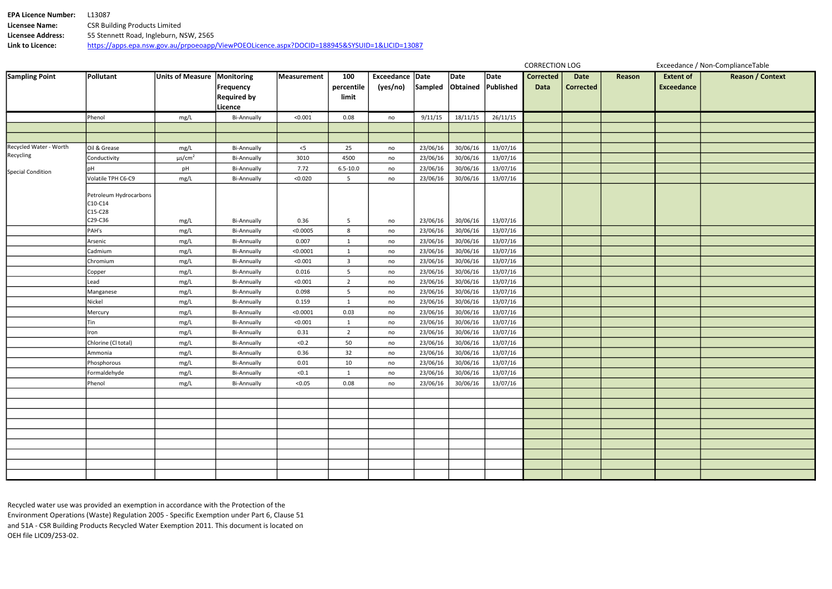| <b>EPA Licence Number:</b> | -13087                                                                                       |
|----------------------------|----------------------------------------------------------------------------------------------|
| Licensee Name:             | <b>CSR Building Products Limited</b>                                                         |
| <b>Licensee Address:</b>   | 55 Stennett Road, Ingleburn, NSW, 2565                                                       |
| Link to Licence:           | https://apps.epa.nsw.gov.au/prpoeoapp/ViewPOEOLicence.aspx?DOCID=188945&SYSUID=1&LICID=13087 |

| <b>Date</b> | Reason | <b>Extent of</b>  | <b>Reason / Context</b> |
|-------------|--------|-------------------|-------------------------|
| rrected     |        | <b>Exceedance</b> |                         |
|             |        |                   |                         |
|             |        |                   |                         |
|             |        |                   |                         |
|             |        |                   |                         |
|             |        |                   |                         |
|             |        |                   |                         |
|             |        |                   |                         |
|             |        |                   |                         |
|             |        |                   |                         |
|             |        |                   |                         |
|             |        |                   |                         |
|             |        |                   |                         |
|             |        |                   |                         |
|             |        |                   |                         |
|             |        |                   |                         |
|             |        |                   |                         |
|             |        |                   |                         |
|             |        |                   |                         |
|             |        |                   |                         |
|             |        |                   |                         |
|             |        |                   |                         |
|             |        |                   |                         |
|             |        |                   |                         |
|             |        |                   |                         |
|             |        |                   |                         |
|             |        |                   |                         |
|             |        |                   |                         |
|             |        |                   |                         |
|             |        |                   |                         |
|             |        |                   |                         |
|             |        |                   |                         |
|             |        |                   |                         |
|             |        |                   |                         |
|             |        |                   |                         |
|             |        |                   |                         |

Recycled water use was provided an exemption in accordance with the Protection of the Environment Operations (Waste) Regulation 2005 - Specific Exemption under Part 6, Clause 51 and 51A - CSR Building Products Recycled Water Exemption 2011. This document is located on OEH file LIC09/253-02.

| <b>Sampling Point</b>    | Pollutant                                    | <b>Units of Measure</b> | Monitoring<br><b>Frequency</b><br><b>Required by</b><br>Licence | Measurement | 100<br>percentile<br>limit | Exceedance Date<br>(yes/no) | Sampled  | Date<br>Obtained | Date<br>Published | <b>Corrected</b><br><b>Data</b> | <b>Date</b><br><b>Corrected</b> | Re |
|--------------------------|----------------------------------------------|-------------------------|-----------------------------------------------------------------|-------------|----------------------------|-----------------------------|----------|------------------|-------------------|---------------------------------|---------------------------------|----|
|                          | Phenol                                       | mg/L                    | <b>Bi-Annually</b>                                              | < 0.001     | 0.08                       | no                          | 9/11/15  | 18/11/15         | 26/11/15          |                                 |                                 |    |
|                          |                                              |                         |                                                                 |             |                            |                             |          |                  |                   |                                 |                                 |    |
|                          |                                              |                         |                                                                 |             |                            |                             |          |                  |                   |                                 |                                 |    |
| Recycled Water - Worth   | Oil & Grease                                 | mg/L                    | <b>Bi-Annually</b>                                              | $<$ 5       | 25                         | no                          | 23/06/16 | 30/06/16         | 13/07/16          |                                 |                                 |    |
| Recycling                | Conductivity                                 | $\mu s/cm^2$            | <b>Bi-Annually</b>                                              | 3010        | 4500                       | no                          | 23/06/16 | 30/06/16         | 13/07/16          |                                 |                                 |    |
| <b>Special Condition</b> | рH                                           | pH                      | <b>Bi-Annually</b>                                              | 7.72        | $6.5 - 10.0$               | no                          | 23/06/16 | 30/06/16         | 13/07/16          |                                 |                                 |    |
|                          | Volatile TPH C6-C9                           | mg/L                    | <b>Bi-Annually</b>                                              | < 0.020     | 5                          | no                          | 23/06/16 | 30/06/16         | 13/07/16          |                                 |                                 |    |
|                          | Petroleum Hydrocarbons<br>C10-C14<br>C15-C28 |                         |                                                                 |             |                            |                             |          |                  |                   |                                 |                                 |    |
|                          | C29-C36                                      | mg/L                    | <b>Bi-Annually</b>                                              | 0.36        | 5                          | no                          | 23/06/16 | 30/06/16         | 13/07/16          |                                 |                                 |    |
|                          | PAH's                                        | mg/L                    | <b>Bi-Annually</b>                                              | < 0.0005    | 8                          | no                          | 23/06/16 | 30/06/16         | 13/07/16          |                                 |                                 |    |
|                          | Arsenic                                      | mg/L                    | <b>Bi-Annually</b>                                              | 0.007       | $\mathbf{1}$               | no                          | 23/06/16 | 30/06/16         | 13/07/16          |                                 |                                 |    |
|                          | Cadmium                                      | mg/L                    | <b>Bi-Annually</b>                                              | < 0.0001    | $\mathbf{1}$               | no                          | 23/06/16 | 30/06/16         | 13/07/16          |                                 |                                 |    |
|                          | Chromium                                     | mg/L                    | <b>Bi-Annually</b>                                              | < 0.001     | 3                          | no                          | 23/06/16 | 30/06/16         | 13/07/16          |                                 |                                 |    |
|                          | Copper                                       | mg/L                    | <b>Bi-Annually</b>                                              | 0.016       | 5                          | no                          | 23/06/16 | 30/06/16         | 13/07/16          |                                 |                                 |    |
|                          | Lead                                         | mg/L                    | <b>Bi-Annually</b>                                              | < 0.001     | $\overline{2}$             | no                          | 23/06/16 | 30/06/16         | 13/07/16          |                                 |                                 |    |
|                          | Manganese                                    | mg/L                    | <b>Bi-Annually</b>                                              | 0.098       | 5                          | no                          | 23/06/16 | 30/06/16         | 13/07/16          |                                 |                                 |    |
|                          | Nickel                                       | mg/L                    | <b>Bi-Annually</b>                                              | 0.159       | $\mathbf{1}$               | no                          | 23/06/16 | 30/06/16         | 13/07/16          |                                 |                                 |    |
|                          | Mercury                                      | mg/L                    | <b>Bi-Annually</b>                                              | < 0.0001    | 0.03                       | no                          | 23/06/16 | 30/06/16         | 13/07/16          |                                 |                                 |    |
|                          | Tin                                          | mg/L                    | <b>Bi-Annually</b>                                              | < 0.001     | $\mathbf{1}$               | no                          | 23/06/16 | 30/06/16         | 13/07/16          |                                 |                                 |    |
|                          | Iron                                         | mg/L                    | <b>Bi-Annually</b>                                              | 0.31        | $\overline{2}$             | no                          | 23/06/16 | 30/06/16         | 13/07/16          |                                 |                                 |    |
|                          | Chlorine (Cl total)                          | mg/L                    | <b>Bi-Annually</b>                                              | $<0.2$      | 50                         | no                          | 23/06/16 | 30/06/16         | 13/07/16          |                                 |                                 |    |
|                          | Ammonia                                      | mg/L                    | <b>Bi-Annually</b>                                              | 0.36        | 32                         | no                          | 23/06/16 | 30/06/16         | 13/07/16          |                                 |                                 |    |
|                          | Phosphorous                                  | mg/L                    | <b>Bi-Annually</b>                                              | $0.01\,$    | 10                         | no                          | 23/06/16 | 30/06/16         | 13/07/16          |                                 |                                 |    |
|                          | Formaldehyde                                 | mg/L                    | <b>Bi-Annually</b>                                              | < 0.1       | $\mathbf{1}$               | no                          | 23/06/16 | 30/06/16         | 13/07/16          |                                 |                                 |    |
|                          | Phenol                                       | mg/L                    | <b>Bi-Annually</b>                                              | < 0.05      | 0.08                       | no                          | 23/06/16 | 30/06/16         | 13/07/16          |                                 |                                 |    |
|                          |                                              |                         |                                                                 |             |                            |                             |          |                  |                   |                                 |                                 |    |
|                          |                                              |                         |                                                                 |             |                            |                             |          |                  |                   |                                 |                                 |    |
|                          |                                              |                         |                                                                 |             |                            |                             |          |                  |                   |                                 |                                 |    |
|                          |                                              |                         |                                                                 |             |                            |                             |          |                  |                   |                                 |                                 |    |
|                          |                                              |                         |                                                                 |             |                            |                             |          |                  |                   |                                 |                                 |    |
|                          |                                              |                         |                                                                 |             |                            |                             |          |                  |                   |                                 |                                 |    |
|                          |                                              |                         |                                                                 |             |                            |                             |          |                  |                   |                                 |                                 |    |
|                          |                                              |                         |                                                                 |             |                            |                             |          |                  |                   |                                 |                                 |    |
|                          |                                              |                         |                                                                 |             |                            |                             |          |                  |                   |                                 |                                 |    |